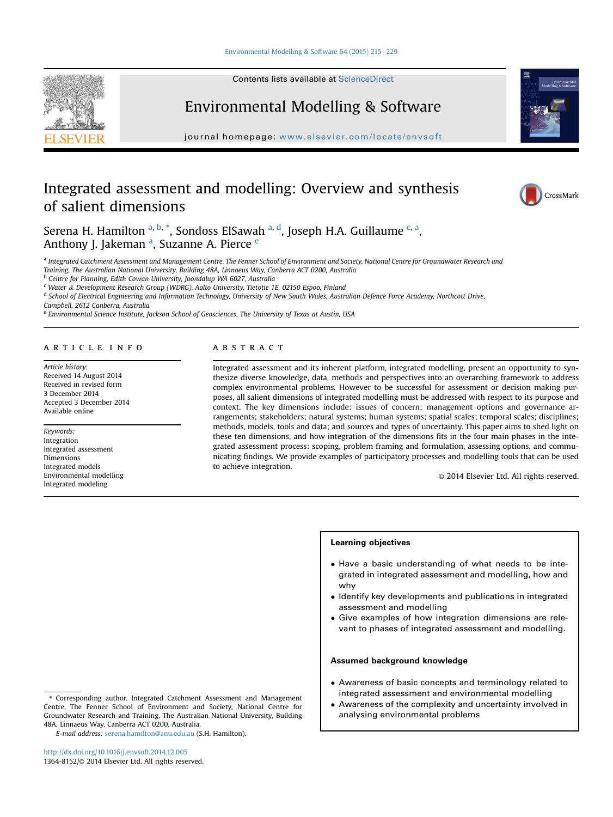## [Environmental Modelling & Software 64 \(2015\) 215](http://dx.doi.org/10.1016/j.envsoft.2014.12.005)-[229](http://dx.doi.org/10.1016/j.envsoft.2014.12.005)



Contents lists available at [ScienceDirect](www.sciencedirect.com/science/journal/13648152)

# Environmental Modelling & Software

journal homepage: [www.elsevier.com/locate/envsoft](http://www.elsevier.com/locate/envsoft)

# Integrated assessment and modelling: Overview and synthesis of salient dimensions





Serena H. Hamilton <sup>a, b,</sup> \*, Sondoss ElSawah <sup>a, d</sup>, Joseph H.A. Guillaume <sup>c, a</sup>, Anthony J. Jakeman <sup>a</sup>, Suzanne A. Pierce <sup>e</sup>

a Integrated Catchment Assessment and Management Centre, The Fenner School of Environment and Society, National Centre for Groundwater Research and

Training, The Australian National University, Building 48A, Linnaeus Way, Canberra ACT 0200, Australia

b Centre for Planning, Edith Cowan University, Joondalup WA 6027, Australia

<sup>c</sup> Water & Development Research Group (WDRG), Aalto University, Tietotie 1E, 02150 Espoo, Finland

<sup>d</sup> School of Electrical Engineering and Information Technology, University of New South Wales, Australian Defence Force Academy, Northcott Drive,

Campbell, 2612 Canberra, Australia

<sup>e</sup> Environmental Science Institute, Jackson School of Geosciences, The University of Texas at Austin, USA

#### article info

Article history: Received 14 August 2014 Received in revised form 3 December 2014 Accepted 3 December 2014 Available online

Keywords: Integration Integrated assessment Dimensions Integrated models Environmental modelling Integrated modeling

# **ABSTRACT**

Integrated assessment and its inherent platform, integrated modelling, present an opportunity to synthesize diverse knowledge, data, methods and perspectives into an overarching framework to address complex environmental problems. However to be successful for assessment or decision making purposes, all salient dimensions of integrated modelling must be addressed with respect to its purpose and context. The key dimensions include: issues of concern; management options and governance arrangements; stakeholders; natural systems; human systems; spatial scales; temporal scales; disciplines; methods, models, tools and data; and sources and types of uncertainty. This paper aims to shed light on these ten dimensions, and how integration of the dimensions fits in the four main phases in the integrated assessment process: scoping, problem framing and formulation, assessing options, and communicating findings. We provide examples of participatory processes and modelling tools that can be used to achieve integration.

© 2014 Elsevier Ltd. All rights reserved.

# Learning objectives

- Have a basic understanding of what needs to be integrated in integrated assessment and modelling, how and why
- Identify key developments and publications in integrated assessment and modelling
- Give examples of how integration dimensions are relevant to phases of integrated assessment and modelling.

## Assumed background knowledge

- Awareness of basic concepts and terminology related to integrated assessment and environmental modelling
- Awareness of the complexity and uncertainty involved in analysing environmental problems

E-mail address: [serena.hamilton@anu.edu.au](mailto:serena.hamilton@anu.edu.au) (S.H. Hamilton).

<sup>\*</sup> Corresponding author. Integrated Catchment Assessment and Management Centre, The Fenner School of Environment and Society, National Centre for Groundwater Research and Training, The Australian National University, Building 48A, Linnaeus Way, Canberra ACT 0200, Australia.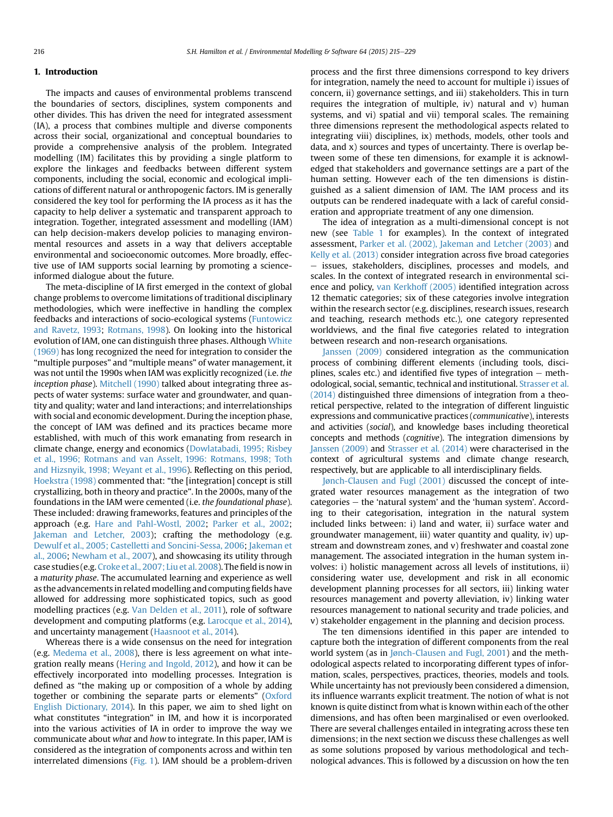# 1. Introduction

The impacts and causes of environmental problems transcend the boundaries of sectors, disciplines, system components and other divides. This has driven the need for integrated assessment (IA), a process that combines multiple and diverse components across their social, organizational and conceptual boundaries to provide a comprehensive analysis of the problem. Integrated modelling (IM) facilitates this by providing a single platform to explore the linkages and feedbacks between different system components, including the social, economic and ecological implications of different natural or anthropogenic factors. IM is generally considered the key tool for performing the IA process as it has the capacity to help deliver a systematic and transparent approach to integration. Together, integrated assessment and modelling (IAM) can help decision-makers develop policies to managing environmental resources and assets in a way that delivers acceptable environmental and socioeconomic outcomes. More broadly, effective use of IAM supports social learning by promoting a scienceinformed dialogue about the future.

The meta-discipline of IA first emerged in the context of global change problems to overcome limitations of traditional disciplinary methodologies, which were ineffective in handling the complex feedbacks and interactions of socio-ecological systems ([Funtowicz](#page-12-0) [and Ravetz, 1993](#page-12-0); [Rotmans, 1998\)](#page-13-0). On looking into the historical evolution of IAM, one can distinguish three phases. Although [White](#page-13-0) [\(1969\)](#page-13-0) has long recognized the need for integration to consider the "multiple purposes" and "multiple means" of water management, it was not until the 1990s when IAM was explicitly recognized (i.e. the inception phase). [Mitchell \(1990\)](#page-13-0) talked about integrating three aspects of water systems: surface water and groundwater, and quantity and quality; water and land interactions; and interrelationships with social and economic development. During the inception phase, the concept of IAM was defined and its practices became more established, with much of this work emanating from research in climate change, energy and economics [\(Dowlatabadi, 1995; Risbey](#page-12-0) [et al., 1996; Rotmans and van Asselt, 1996: Rotmans, 1998; Toth](#page-12-0) [and Hizsnyik, 1998; Weyant et al., 1996\)](#page-12-0). Reflecting on this period, [Hoekstra \(1998\)](#page-12-0) commented that: "the [integration] concept is still crystallizing, both in theory and practice". In the 2000s, many of the foundations in the IAM were cemented (i.e. the foundational phase). These included: drawing frameworks, features and principles of the approach (e.g. [Hare and Pahl-Wostl, 2002;](#page-12-0) [Parker et al., 2002](#page-13-0); [Jakeman and Letcher, 2003](#page-12-0)); crafting the methodology (e.g. [Dewulf et al., 2005; Castelletti and Soncini-Sessa, 2006](#page-12-0); [Jakeman et](#page-12-0) [al., 2006;](#page-12-0) [Newham et al., 2007\)](#page-13-0), and showcasing its utility through case studies (e.g. [Croke et al., 2007; Liu et al. 2008\)](#page-12-0). The field is now in a maturity phase. The accumulated learning and experience as well as the advancements in related modelling and computing fields have allowed for addressing more sophisticated topics, such as good modelling practices (e.g. [Van Delden et al., 2011](#page-13-0)), role of software development and computing platforms (e.g. [Larocque et al., 2014\)](#page-12-0), and uncertainty management [\(Haasnoot et al., 2014\)](#page-12-0).

Whereas there is a wide consensus on the need for integration (e.g. [Medema et al., 2008\)](#page-13-0), there is less agreement on what integration really means [\(Hering and Ingold, 2012\)](#page-12-0), and how it can be effectively incorporated into modelling processes. Integration is defined as "the making up or composition of a whole by adding together or combining the separate parts or elements" ([Oxford](#page-13-0) [English Dictionary, 2014](#page-13-0)). In this paper, we aim to shed light on what constitutes "integration" in IM, and how it is incorporated into the various activities of IA in order to improve the way we communicate about what and how to integrate. In this paper, IAM is considered as the integration of components across and within ten interrelated dimensions ([Fig. 1\)](#page-2-0). IAM should be a problem-driven process and the first three dimensions correspond to key drivers for integration, namely the need to account for multiple i) issues of concern, ii) governance settings, and iii) stakeholders. This in turn requires the integration of multiple, iv) natural and v) human systems, and vi) spatial and vii) temporal scales. The remaining three dimensions represent the methodological aspects related to integrating viii) disciplines, ix) methods, models, other tools and data, and x) sources and types of uncertainty. There is overlap between some of these ten dimensions, for example it is acknowledged that stakeholders and governance settings are a part of the human setting. However each of the ten dimensions is distinguished as a salient dimension of IAM. The IAM process and its outputs can be rendered inadequate with a lack of careful consideration and appropriate treatment of any one dimension.

The idea of integration as a multi-dimensional concept is not new (see [Table 1](#page-2-0) for examples). In the context of integrated assessment, [Parker et al. \(2002\), Jakeman and Letcher \(2003\)](#page-13-0) and [Kelly et al. \(2013\)](#page-12-0) consider integration across five broad categories issues, stakeholders, disciplines, processes and models, and scales. In the context of integrated research in environmental science and policy, [van Kerkhoff \(2005\)](#page-13-0) identified integration across 12 thematic categories; six of these categories involve integration within the research sector (e.g. disciplines, research issues, research and teaching, research methods etc.), one category represented worldviews, and the final five categories related to integration between research and non-research organisations.

[Janssen \(2009\)](#page-12-0) considered integration as the communication process of combining different elements (including tools, disciplines, scales etc.) and identified five types of integration  $-$  methodological, social, semantic, technical and institutional. [Strasser et al.](#page-13-0) [\(2014\)](#page-13-0) distinguished three dimensions of integration from a theoretical perspective, related to the integration of different linguistic expressions and communicative practices (communicative), interests and activities (social), and knowledge bases including theoretical concepts and methods (cognitive). The integration dimensions by [Janssen \(2009\)](#page-12-0) and [Strasser et al. \(2014\)](#page-13-0) were characterised in the context of agricultural systems and climate change research, respectively, but are applicable to all interdisciplinary fields.

[J](#page-12-0)ø[nch-Clausen and Fugl \(2001\)](#page-12-0) discussed the concept of integrated water resources management as the integration of two  $categories - the 'natural system' and the 'human system'.  $According to the image.$$ ing to their categorisation, integration in the natural system included links between: i) land and water, ii) surface water and groundwater management, iii) water quantity and quality, iv) upstream and downstream zones, and v) freshwater and coastal zone management. The associated integration in the human system involves: i) holistic management across all levels of institutions, ii) considering water use, development and risk in all economic development planning processes for all sectors, iii) linking water resources management and poverty alleviation, iv) linking water resources management to national security and trade policies, and v) stakeholder engagement in the planning and decision process.

The ten dimensions identified in this paper are intended to capture both the integration of different components from the real world system (as in [Jønch-Clausen and Fugl, 2001](#page-12-0)) and the methodological aspects related to incorporating different types of information, scales, perspectives, practices, theories, models and tools. While uncertainty has not previously been considered a dimension, its influence warrants explicit treatment. The notion of what is not known is quite distinct from what is known within each of the other dimensions, and has often been marginalised or even overlooked. There are several challenges entailed in integrating across these ten dimensions; in the next section we discuss these challenges as well as some solutions proposed by various methodological and technological advances. This is followed by a discussion on how the ten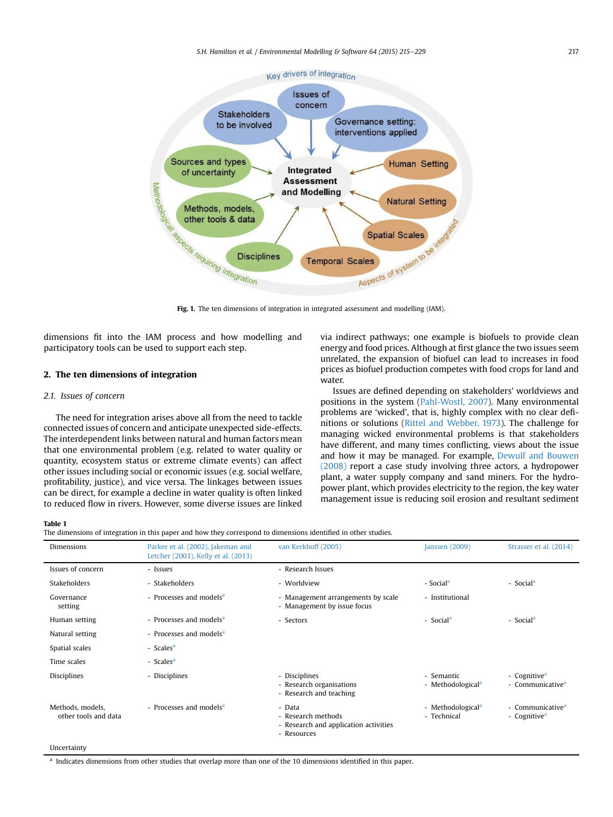<span id="page-2-0"></span>

Fig. 1. The ten dimensions of integration in integrated assessment and modelling (IAM).

dimensions fit into the IAM process and how modelling and participatory tools can be used to support each step.

### 2. The ten dimensions of integration

#### 2.1. Issues of concern

The need for integration arises above all from the need to tackle connected issues of concern and anticipate unexpected side-effects. The interdependent links between natural and human factors mean that one environmental problem (e.g. related to water quality or quantity, ecosystem status or extreme climate events) can affect other issues including social or economic issues (e.g. social welfare, profitability, justice), and vice versa. The linkages between issues can be direct, for example a decline in water quality is often linked to reduced flow in rivers. However, some diverse issues are linked via indirect pathways; one example is biofuels to provide clean energy and food prices. Although at first glance the two issues seem unrelated, the expansion of biofuel can lead to increases in food prices as biofuel production competes with food crops for land and water.

Issues are defined depending on stakeholders' worldviews and positions in the system ([Pahl-Wostl, 2007](#page-13-0)). Many environmental problems are 'wicked', that is, highly complex with no clear definitions or solutions [\(Rittel and Webber, 1973\)](#page-13-0). The challenge for managing wicked environmental problems is that stakeholders have different, and many times conflicting, views about the issue and how it may be managed. For example, [Dewulf and Bouwen](#page-12-0) [\(2008\)](#page-12-0) report a case study involving three actors, a hydropower plant, a water supply company and sand miners. For the hydropower plant, which provides electricity to the region, the key water management issue is reducing soil erosion and resultant sediment

### Table 1

The dimensions of integration in this paper and how they correspond to dimensions identified in other studies.

| Dimensions                               | Parker et al. (2002), Jakeman and<br>Letcher (2003), Kelly et al. (2013) | van Kerkhoff (2005)                                                                  | <b>Janssen</b> (2009)                        | Strasser et al. (2014)                                   |
|------------------------------------------|--------------------------------------------------------------------------|--------------------------------------------------------------------------------------|----------------------------------------------|----------------------------------------------------------|
| Issues of concern                        | - Issues                                                                 | - Research Issues                                                                    |                                              |                                                          |
| Stakeholders                             | - Stakeholders                                                           | - Worldview                                                                          | - Social <sup>a</sup>                        | - Social <sup>a</sup>                                    |
| Governance<br>setting                    | - Processes and models <sup>a</sup>                                      | - Management arrangements by scale<br>- Management by issue focus                    | - Institutional                              |                                                          |
| Human setting                            | - Processes and models <sup>a</sup>                                      | - Sectors                                                                            | - Social <sup>a</sup>                        | - Social <sup>a</sup>                                    |
| Natural setting                          | - Processes and models <sup>a</sup>                                      |                                                                                      |                                              |                                                          |
| Spatial scales                           | - Scales <sup>a</sup>                                                    |                                                                                      |                                              |                                                          |
| Time scales                              | - Scales <sup>a</sup>                                                    |                                                                                      |                                              |                                                          |
| <b>Disciplines</b>                       | - Disciplines                                                            | - Disciplines<br>- Research organisations<br>- Research and teaching                 | - Semantic<br>- Methodological <sup>a</sup>  | - Cognitive <sup>a</sup><br>- Communicative <sup>a</sup> |
| Methods, models,<br>other tools and data | - Processes and models <sup>a</sup>                                      | - Data<br>- Research methods<br>- Research and application activities<br>- Resources | - Methodological <sup>a</sup><br>- Technical | - Communicative <sup>a</sup><br>- Cognitive <sup>a</sup> |

Uncertainty

<sup>a</sup> Indicates dimensions from other studies that overlap more than one of the 10 dimensions identified in this paper.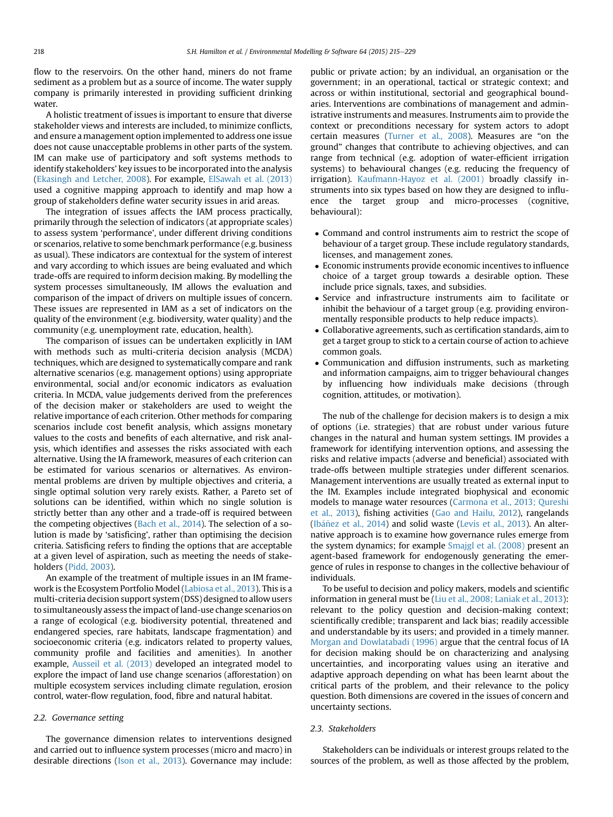flow to the reservoirs. On the other hand, miners do not frame sediment as a problem but as a source of income. The water supply company is primarily interested in providing sufficient drinking water.

A holistic treatment of issues is important to ensure that diverse stakeholder views and interests are included, to minimize conflicts, and ensure a management option implemented to address one issue does not cause unacceptable problems in other parts of the system. IM can make use of participatory and soft systems methods to identify stakeholders' key issues to be incorporated into the analysis ([Ekasingh and Letcher, 2008](#page-12-0)). For example, [ElSawah et al. \(2013\)](#page-12-0) used a cognitive mapping approach to identify and map how a group of stakeholders define water security issues in arid areas.

The integration of issues affects the IAM process practically, primarily through the selection of indicators (at appropriate scales) to assess system 'performance', under different driving conditions or scenarios, relative to some benchmark performance (e.g. business as usual). These indicators are contextual for the system of interest and vary according to which issues are being evaluated and which trade-offs are required to inform decision making. By modelling the system processes simultaneously, IM allows the evaluation and comparison of the impact of drivers on multiple issues of concern. These issues are represented in IAM as a set of indicators on the quality of the environment (e.g. biodiversity, water quality) and the community (e.g. unemployment rate, education, health).

The comparison of issues can be undertaken explicitly in IAM with methods such as multi-criteria decision analysis (MCDA) techniques, which are designed to systematically compare and rank alternative scenarios (e.g. management options) using appropriate environmental, social and/or economic indicators as evaluation criteria. In MCDA, value judgements derived from the preferences of the decision maker or stakeholders are used to weight the relative importance of each criterion. Other methods for comparing scenarios include cost benefit analysis, which assigns monetary values to the costs and benefits of each alternative, and risk analysis, which identifies and assesses the risks associated with each alternative. Using the IA framework, measures of each criterion can be estimated for various scenarios or alternatives. As environmental problems are driven by multiple objectives and criteria, a single optimal solution very rarely exists. Rather, a Pareto set of solutions can be identified, within which no single solution is strictly better than any other and a trade-off is required between the competing objectives ([Bach et al., 2014](#page-11-0)). The selection of a solution is made by 'satisficing', rather than optimising the decision criteria. Satisficing refers to finding the options that are acceptable at a given level of aspiration, such as meeting the needs of stakeholders ([Pidd, 2003](#page-13-0)).

An example of the treatment of multiple issues in an IM framework is the Ecosystem Portfolio Model [\(Labiosa et al., 2013](#page-12-0)). This is a multi-criteria decision support system (DSS) designed to allow users to simultaneously assess the impact of land-use change scenarios on a range of ecological (e.g. biodiversity potential, threatened and endangered species, rare habitats, landscape fragmentation) and socioeconomic criteria (e.g. indicators related to property values, community profile and facilities and amenities). In another example, [Ausseil et al. \(2013\)](#page-11-0) developed an integrated model to explore the impact of land use change scenarios (afforestation) on multiple ecosystem services including climate regulation, erosion control, water-flow regulation, food, fibre and natural habitat.

#### 2.2. Governance setting

The governance dimension relates to interventions designed and carried out to influence system processes (micro and macro) in desirable directions ([Ison et al., 2013\)](#page-12-0). Governance may include:

public or private action; by an individual, an organisation or the government; in an operational, tactical or strategic context; and across or within institutional, sectorial and geographical boundaries. Interventions are combinations of management and administrative instruments and measures. Instruments aim to provide the context or preconditions necessary for system actors to adopt certain measures [\(Turner et al., 2008](#page-13-0)). Measures are "on the ground" changes that contribute to achieving objectives, and can range from technical (e.g. adoption of water-efficient irrigation systems) to behavioural changes (e.g. reducing the frequency of irrigation). [Kaufmann-Hayoz et al. \(2001\)](#page-12-0) broadly classify instruments into six types based on how they are designed to influence the target group and micro-processes (cognitive, behavioural):

- Command and control instruments aim to restrict the scope of behaviour of a target group. These include regulatory standards, licenses, and management zones.
- Economic instruments provide economic incentives to influence choice of a target group towards a desirable option. These include price signals, taxes, and subsidies.
- Service and infrastructure instruments aim to facilitate or inhibit the behaviour of a target group (e.g. providing environmentally responsible products to help reduce impacts).
- Collaborative agreements, such as certification standards, aim to get a target group to stick to a certain course of action to achieve common goals.
- Communication and diffusion instruments, such as marketing and information campaigns, aim to trigger behavioural changes by influencing how individuals make decisions (through cognition, attitudes, or motivation).

The nub of the challenge for decision makers is to design a mix of options (i.e. strategies) that are robust under various future changes in the natural and human system settings. IM provides a framework for identifying intervention options, and assessing the risks and relative impacts (adverse and beneficial) associated with trade-offs between multiple strategies under different scenarios. Management interventions are usually treated as external input to the IM. Examples include integrated biophysical and economic models to manage water resources [\(Carmona et al., 2013; Qureshi](#page-12-0) [et al., 2013\)](#page-12-0), fishing activities ([Gao and Hailu, 2012\)](#page-12-0), rangelands ([Ib](#page-12-0)áñez et al., 2014) and solid waste [\(Levis et al., 2013](#page-13-0)). An alternative approach is to examine how governance rules emerge from the system dynamics; for example [Smajgl et al. \(2008\)](#page-13-0) present an agent-based framework for endogenously generating the emergence of rules in response to changes in the collective behaviour of individuals.

To be useful to decision and policy makers, models and scientific information in general must be ([Liu et al., 2008; Laniak et al., 2013](#page-13-0)): relevant to the policy question and decision-making context; scientifically credible; transparent and lack bias; readily accessible and understandable by its users; and provided in a timely manner. [Morgan and Dowlatabadi \(1996\)](#page-13-0) argue that the central focus of IA for decision making should be on characterizing and analysing uncertainties, and incorporating values using an iterative and adaptive approach depending on what has been learnt about the critical parts of the problem, and their relevance to the policy question. Both dimensions are covered in the issues of concern and uncertainty sections.

### 2.3. Stakeholders

Stakeholders can be individuals or interest groups related to the sources of the problem, as well as those affected by the problem,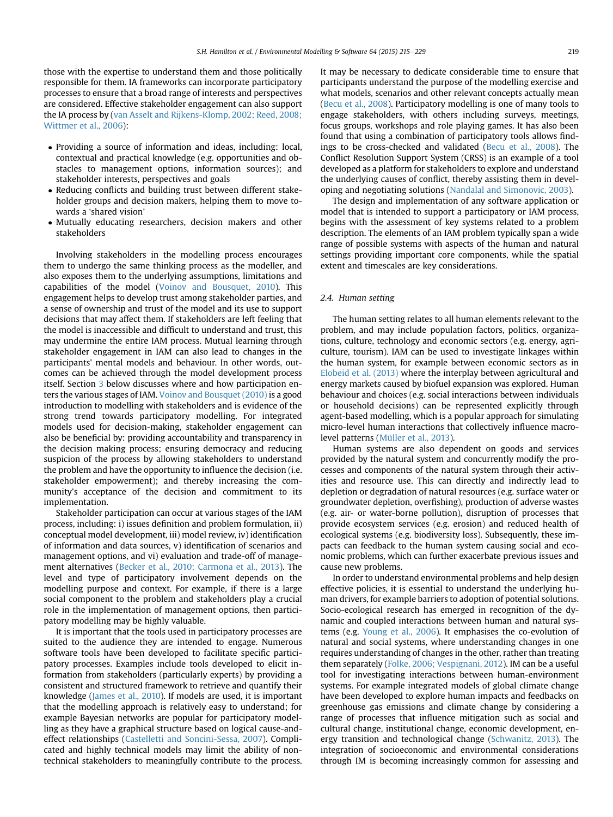those with the expertise to understand them and those politically responsible for them. IA frameworks can incorporate participatory processes to ensure that a broad range of interests and perspectives are considered. Effective stakeholder engagement can also support the IA process by ([van Asselt and Rijkens-Klomp, 2002; Reed, 2008;](#page-13-0) [Wittmer et al., 2006](#page-13-0)):

- Providing a source of information and ideas, including: local, contextual and practical knowledge (e.g. opportunities and obstacles to management options, information sources); and stakeholder interests, perspectives and goals
- Reducing conflicts and building trust between different stakeholder groups and decision makers, helping them to move towards a 'shared vision'
- Mutually educating researchers, decision makers and other stakeholders

Involving stakeholders in the modelling process encourages them to undergo the same thinking process as the modeller, and also exposes them to the underlying assumptions, limitations and capabilities of the model ([Voinov and Bousquet, 2010](#page-13-0)). This engagement helps to develop trust among stakeholder parties, and a sense of ownership and trust of the model and its use to support decisions that may affect them. If stakeholders are left feeling that the model is inaccessible and difficult to understand and trust, this may undermine the entire IAM process. Mutual learning through stakeholder engagement in IAM can also lead to changes in the participants' mental models and behaviour. In other words, outcomes can be achieved through the model development process itself. Section [3](#page-8-0) below discusses where and how participation enters the various stages of IAM. [Voinov and Bousquet \(2010\)](#page-13-0) is a good introduction to modelling with stakeholders and is evidence of the strong trend towards participatory modelling. For integrated models used for decision-making, stakeholder engagement can also be beneficial by: providing accountability and transparency in the decision making process; ensuring democracy and reducing suspicion of the process by allowing stakeholders to understand the problem and have the opportunity to influence the decision (i.e. stakeholder empowerment); and thereby increasing the community's acceptance of the decision and commitment to its implementation.

Stakeholder participation can occur at various stages of the IAM process, including: i) issues definition and problem formulation, ii) conceptual model development, iii) model review, iv) identification of information and data sources, v) identification of scenarios and management options, and vi) evaluation and trade-off of management alternatives ([Becker et al., 2010; Carmona et al., 2013\)](#page-11-0). The level and type of participatory involvement depends on the modelling purpose and context. For example, if there is a large social component to the problem and stakeholders play a crucial role in the implementation of management options, then participatory modelling may be highly valuable.

It is important that the tools used in participatory processes are suited to the audience they are intended to engage. Numerous software tools have been developed to facilitate specific participatory processes. Examples include tools developed to elicit information from stakeholders (particularly experts) by providing a consistent and structured framework to retrieve and quantify their knowledge ([James et al., 2010\)](#page-12-0). If models are used, it is important that the modelling approach is relatively easy to understand; for example Bayesian networks are popular for participatory modelling as they have a graphical structure based on logical cause-andeffect relationships ([Castelletti and Soncini-Sessa, 2007](#page-12-0)). Complicated and highly technical models may limit the ability of nontechnical stakeholders to meaningfully contribute to the process. It may be necessary to dedicate considerable time to ensure that participants understand the purpose of the modelling exercise and what models, scenarios and other relevant concepts actually mean ([Becu et al., 2008\)](#page-11-0). Participatory modelling is one of many tools to engage stakeholders, with others including surveys, meetings, focus groups, workshops and role playing games. It has also been found that using a combination of participatory tools allows findings to be cross-checked and validated ([Becu et al., 2008\)](#page-11-0). The Conflict Resolution Support System (CRSS) is an example of a tool developed as a platform for stakeholders to explore and understand the underlying causes of conflict, thereby assisting them in developing and negotiating solutions [\(Nandalal and Simonovic, 2003\)](#page-13-0).

The design and implementation of any software application or model that is intended to support a participatory or IAM process, begins with the assessment of key systems related to a problem description. The elements of an IAM problem typically span a wide range of possible systems with aspects of the human and natural settings providing important core components, while the spatial extent and timescales are key considerations.

#### 2.4. Human setting

The human setting relates to all human elements relevant to the problem, and may include population factors, politics, organizations, culture, technology and economic sectors (e.g. energy, agriculture, tourism). IAM can be used to investigate linkages within the human system, for example between economic sectors as in [Elobeid et al. \(2013\)](#page-12-0) where the interplay between agricultural and energy markets caused by biofuel expansion was explored. Human behaviour and choices (e.g. social interactions between individuals or household decisions) can be represented explicitly through agent-based modelling, which is a popular approach for simulating micro-level human interactions that collectively influence macrolevel patterns ([Müller et al., 2013](#page-13-0)).

Human systems are also dependent on goods and services provided by the natural system and concurrently modify the processes and components of the natural system through their activities and resource use. This can directly and indirectly lead to depletion or degradation of natural resources (e.g. surface water or groundwater depletion, overfishing), production of adverse wastes (e.g. air- or water-borne pollution), disruption of processes that provide ecosystem services (e.g. erosion) and reduced health of ecological systems (e.g. biodiversity loss). Subsequently, these impacts can feedback to the human system causing social and economic problems, which can further exacerbate previous issues and cause new problems.

In order to understand environmental problems and help design effective policies, it is essential to understand the underlying human drivers, for example barriers to adoption of potential solutions. Socio-ecological research has emerged in recognition of the dynamic and coupled interactions between human and natural systems (e.g. [Young et al., 2006\)](#page-14-0). It emphasises the co-evolution of natural and social systems, where understanding changes in one requires understanding of changes in the other, rather than treating them separately ([Folke, 2006; Vespignani, 2012\)](#page-12-0). IM can be a useful tool for investigating interactions between human-environment systems. For example integrated models of global climate change have been developed to explore human impacts and feedbacks on greenhouse gas emissions and climate change by considering a range of processes that influence mitigation such as social and cultural change, institutional change, economic development, energy transition and technological change ([Schwanitz, 2013](#page-13-0)). The integration of socioeconomic and environmental considerations through IM is becoming increasingly common for assessing and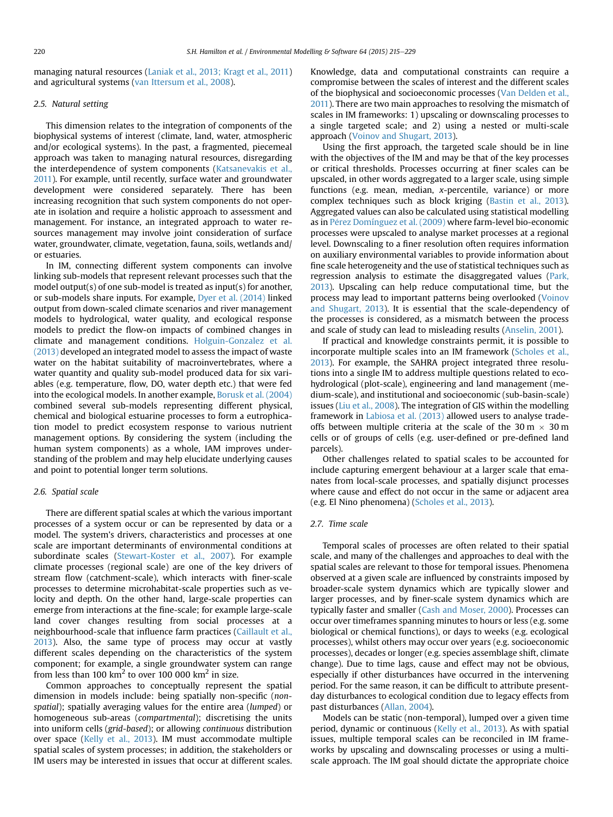managing natural resources ([Laniak et al., 2013; Kragt et al., 2011\)](#page-12-0) and agricultural systems [\(van Ittersum et al., 2008\)](#page-13-0).

## 2.5. Natural setting

This dimension relates to the integration of components of the biophysical systems of interest (climate, land, water, atmospheric and/or ecological systems). In the past, a fragmented, piecemeal approach was taken to managing natural resources, disregarding the interdependence of system components [\(Katsanevakis et al.,](#page-12-0) [2011\)](#page-12-0). For example, until recently, surface water and groundwater development were considered separately. There has been increasing recognition that such system components do not operate in isolation and require a holistic approach to assessment and management. For instance, an integrated approach to water resources management may involve joint consideration of surface water, groundwater, climate, vegetation, fauna, soils, wetlands and/ or estuaries.

In IM, connecting different system components can involve linking sub-models that represent relevant processes such that the model output(s) of one sub-model is treated as input(s) for another, or sub-models share inputs. For example, [Dyer et al. \(2014\)](#page-12-0) linked output from down-scaled climate scenarios and river management models to hydrological, water quality, and ecological response models to predict the flow-on impacts of combined changes in climate and management conditions. [Holguin-Gonzalez et al.](#page-12-0) [\(2013\)](#page-12-0) developed an integrated model to assess the impact of waste water on the habitat suitability of macroinvertebrates, where a water quantity and quality sub-model produced data for six variables (e.g. temperature, flow, DO, water depth etc.) that were fed into the ecological models. In another example, [Borusk et al. \(2004\)](#page-11-0) combined several sub-models representing different physical, chemical and biological estuarine processes to form a eutrophication model to predict ecosystem response to various nutrient management options. By considering the system (including the human system components) as a whole, IAM improves understanding of the problem and may help elucidate underlying causes and point to potential longer term solutions.

# 2.6. Spatial scale

There are different spatial scales at which the various important processes of a system occur or can be represented by data or a model. The system's drivers, characteristics and processes at one scale are important determinants of environmental conditions at subordinate scales [\(Stewart-Koster et al., 2007\)](#page-13-0). For example climate processes (regional scale) are one of the key drivers of stream flow (catchment-scale), which interacts with finer-scale processes to determine microhabitat-scale properties such as velocity and depth. On the other hand, large-scale properties can emerge from interactions at the fine-scale; for example large-scale land cover changes resulting from social processes at a neighbourhood-scale that influence farm practices [\(Caillault et al.,](#page-11-0) [2013](#page-11-0)). Also, the same type of process may occur at vastly different scales depending on the characteristics of the system component; for example, a single groundwater system can range from less than 100  $km^2$  to over 100 000  $km^2$  in size.

Common approaches to conceptually represent the spatial dimension in models include: being spatially non-specific (nonspatial); spatially averaging values for the entire area (lumped) or homogeneous sub-areas (compartmental); discretising the units into uniform cells (grid-based); or allowing continuous distribution over space ([Kelly et al., 2013](#page-12-0)). IM must accommodate multiple spatial scales of system processes; in addition, the stakeholders or IM users may be interested in issues that occur at different scales. Knowledge, data and computational constraints can require a compromise between the scales of interest and the different scales of the biophysical and socioeconomic processes ([Van Delden et al.,](#page-13-0) [2011\)](#page-13-0). There are two main approaches to resolving the mismatch of scales in IM frameworks: 1) upscaling or downscaling processes to a single targeted scale; and 2) using a nested or multi-scale approach [\(Voinov and Shugart, 2013\)](#page-13-0).

Using the first approach, the targeted scale should be in line with the objectives of the IM and may be that of the key processes or critical thresholds. Processes occurring at finer scales can be upscaled, in other words aggregated to a larger scale, using simple functions (e.g. mean, median, x-percentile, variance) or more complex techniques such as block kriging ([Bastin et al., 2013\)](#page-11-0). Aggregated values can also be calculated using statistical modelling as in [P](#page-13-0)é[rez Domínguez et al. \(2009\)](#page-13-0) where farm-level bio-economic processes were upscaled to analyse market processes at a regional level. Downscaling to a finer resolution often requires information on auxiliary environmental variables to provide information about fine scale heterogeneity and the use of statistical techniques such as regression analysis to estimate the disaggregated values [\(Park,](#page-13-0) [2013\)](#page-13-0). Upscaling can help reduce computational time, but the process may lead to important patterns being overlooked [\(Voinov](#page-13-0) [and Shugart, 2013](#page-13-0)). It is essential that the scale-dependency of the processes is considered, as a mismatch between the process and scale of study can lead to misleading results [\(Anselin, 2001\)](#page-11-0).

If practical and knowledge constraints permit, it is possible to incorporate multiple scales into an IM framework ([Scholes et al.,](#page-13-0) [2013\)](#page-13-0). For example, the SAHRA project integrated three resolutions into a single IM to address multiple questions related to ecohydrological (plot-scale), engineering and land management (medium-scale), and institutional and socioeconomic (sub-basin-scale) issues [\(Liu et al., 2008](#page-13-0)). The integration of GIS within the modelling framework in [Labiosa et al. \(2013\)](#page-12-0) allowed users to analyse tradeoffs between multiple criteria at the scale of the 30 m  $\times$  30 m cells or of groups of cells (e.g. user-defined or pre-defined land parcels).

Other challenges related to spatial scales to be accounted for include capturing emergent behaviour at a larger scale that emanates from local-scale processes, and spatially disjunct processes where cause and effect do not occur in the same or adjacent area (e.g. El Nino phenomena) ([Scholes et al., 2013](#page-13-0)).

## 2.7. Time scale

Temporal scales of processes are often related to their spatial scale, and many of the challenges and approaches to deal with the spatial scales are relevant to those for temporal issues. Phenomena observed at a given scale are influenced by constraints imposed by broader-scale system dynamics which are typically slower and larger processes, and by finer-scale system dynamics which are typically faster and smaller [\(Cash and Moser, 2000\)](#page-12-0). Processes can occur over timeframes spanning minutes to hours or less (e.g. some biological or chemical functions), or days to weeks (e.g. ecological processes), whilst others may occur over years (e.g. socioeconomic processes), decades or longer (e.g. species assemblage shift, climate change). Due to time lags, cause and effect may not be obvious, especially if other disturbances have occurred in the intervening period. For the same reason, it can be difficult to attribute presentday disturbances to ecological condition due to legacy effects from past disturbances ([Allan, 2004\)](#page-11-0).

Models can be static (non-temporal), lumped over a given time period, dynamic or continuous [\(Kelly et al., 2013](#page-12-0)). As with spatial issues, multiple temporal scales can be reconciled in IM frameworks by upscaling and downscaling processes or using a multiscale approach. The IM goal should dictate the appropriate choice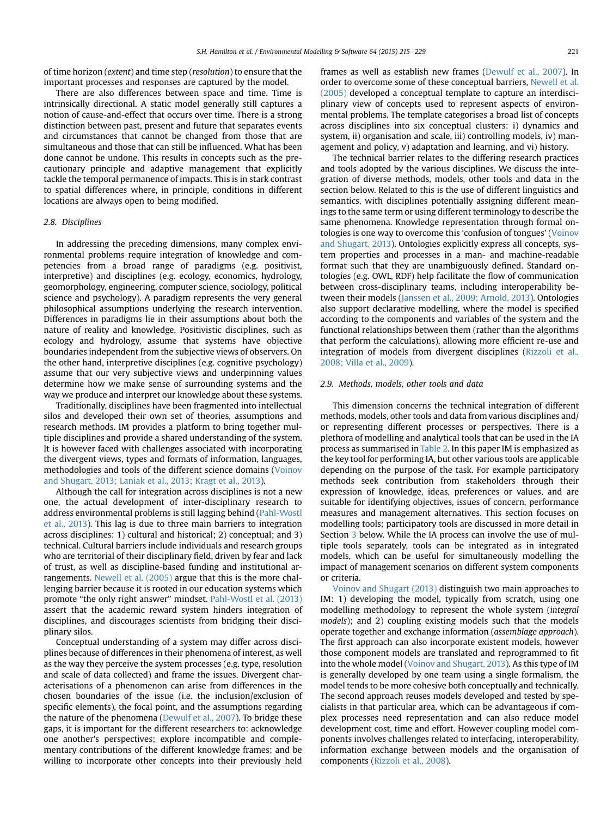of time horizon (extent) and time step (resolution) to ensure that the important processes and responses are captured by the model.

There are also differences between space and time. Time is intrinsically directional. A static model generally still captures a notion of cause-and-effect that occurs over time. There is a strong distinction between past, present and future that separates events and circumstances that cannot be changed from those that are simultaneous and those that can still be influenced. What has been done cannot be undone. This results in concepts such as the precautionary principle and adaptive management that explicitly tackle the temporal permanence of impacts. This is in stark contrast to spatial differences where, in principle, conditions in different locations are always open to being modified.

#### 2.8. Disciplines

In addressing the preceding dimensions, many complex environmental problems require integration of knowledge and competencies from a broad range of paradigms (e.g. positivist, interpretive) and disciplines (e.g. ecology, economics, hydrology, geomorphology, engineering, computer science, sociology, political science and psychology). A paradigm represents the very general philosophical assumptions underlying the research intervention. Differences in paradigms lie in their assumptions about both the nature of reality and knowledge. Positivistic disciplines, such as ecology and hydrology, assume that systems have objective boundaries independent from the subjective views of observers. On the other hand, interpretive disciplines (e.g. cognitive psychology) assume that our very subjective views and underpinning values determine how we make sense of surrounding systems and the way we produce and interpret our knowledge about these systems.

Traditionally, disciplines have been fragmented into intellectual silos and developed their own set of theories, assumptions and research methods. IM provides a platform to bring together multiple disciplines and provide a shared understanding of the system. It is however faced with challenges associated with incorporating the divergent views, types and formats of information, languages, methodologies and tools of the different science domains [\(Voinov](#page-13-0) [and Shugart, 2013; Laniak et al., 2013; Kragt et al., 2013](#page-13-0)).

Although the call for integration across disciplines is not a new one, the actual development of inter-disciplinary research to address environmental problems is still lagging behind [\(Pahl-Wostl](#page-13-0) [et al., 2013\)](#page-13-0). This lag is due to three main barriers to integration across disciplines: 1) cultural and historical; 2) conceptual; and 3) technical. Cultural barriers include individuals and research groups who are territorial of their disciplinary field, driven by fear and lack of trust, as well as discipline-based funding and institutional arrangements. [Newell et al. \(2005\)](#page-13-0) argue that this is the more challenging barrier because it is rooted in our education systems which promote "the only right answer" mindset. [Pahl-Wostl et al. \(2013\)](#page-13-0) assert that the academic reward system hinders integration of disciplines, and discourages scientists from bridging their disciplinary silos.

Conceptual understanding of a system may differ across disciplines because of differences in their phenomena of interest, as well as the way they perceive the system processes (e.g. type, resolution and scale of data collected) and frame the issues. Divergent characterisations of a phenomenon can arise from differences in the chosen boundaries of the issue (i.e. the inclusion/exclusion of specific elements), the focal point, and the assumptions regarding the nature of the phenomena [\(Dewulf et al., 2007\)](#page-12-0). To bridge these gaps, it is important for the different researchers to: acknowledge one another's perspectives; explore incompatible and complementary contributions of the different knowledge frames; and be willing to incorporate other concepts into their previously held frames as well as establish new frames [\(Dewulf et al., 2007\)](#page-12-0). In order to overcome some of these conceptual barriers, [Newell et al.](#page-13-0) [\(2005\)](#page-13-0) developed a conceptual template to capture an interdisciplinary view of concepts used to represent aspects of environmental problems. The template categorises a broad list of concepts across disciplines into six conceptual clusters: i) dynamics and system, ii) organisation and scale, iii) controlling models, iv) management and policy, v) adaptation and learning, and vi) history.

The technical barrier relates to the differing research practices and tools adopted by the various disciplines. We discuss the integration of diverse methods, models, other tools and data in the section below. Related to this is the use of different linguistics and semantics, with disciplines potentially assigning different meanings to the same term or using different terminology to describe the same phenomena. Knowledge representation through formal ontologies is one way to overcome this 'confusion of tongues' ([Voinov](#page-13-0) [and Shugart, 2013](#page-13-0)). Ontologies explicitly express all concepts, system properties and processes in a man- and machine-readable format such that they are unambiguously defined. Standard ontologies (e.g. OWL, RDF) help facilitate the flow of communication between cross-disciplinary teams, including interoperability between their models [\(Janssen et al., 2009; Arnold, 2013](#page-12-0)). Ontologies also support declarative modelling, where the model is specified according to the components and variables of the system and the functional relationships between them (rather than the algorithms that perform the calculations), allowing more efficient re-use and integration of models from divergent disciplines [\(Rizzoli et al.,](#page-13-0) [2008; Villa et al., 2009](#page-13-0)).

#### 2.9. Methods, models, other tools and data

This dimension concerns the technical integration of different methods, models, other tools and data from various disciplines and/ or representing different processes or perspectives. There is a plethora of modelling and analytical tools that can be used in the IA process as summarised in [Table 2](#page-7-0). In this paper IM is emphasized as the key tool for performing IA, but other various tools are applicable depending on the purpose of the task. For example participatory methods seek contribution from stakeholders through their expression of knowledge, ideas, preferences or values, and are suitable for identifying objectives, issues of concern, performance measures and management alternatives. This section focuses on modelling tools; participatory tools are discussed in more detail in Section [3](#page-8-0) below. While the IA process can involve the use of multiple tools separately, tools can be integrated as in integrated models, which can be useful for simultaneously modelling the impact of management scenarios on different system components or criteria.

[Voinov and Shugart \(2013\)](#page-13-0) distinguish two main approaches to IM: 1) developing the model, typically from scratch, using one modelling methodology to represent the whole system (integral models); and 2) coupling existing models such that the models operate together and exchange information (assemblage approach). The first approach can also incorporate existent models, however those component models are translated and reprogrammed to fit into the whole model [\(Voinov and Shugart, 2013](#page-13-0)). As this type of IM is generally developed by one team using a single formalism, the model tends to be more cohesive both conceptually and technically. The second approach reuses models developed and tested by specialists in that particular area, which can be advantageous if complex processes need representation and can also reduce model development cost, time and effort. However coupling model components involves challenges related to interfacing, interoperability, information exchange between models and the organisation of components ([Rizzoli et al., 2008](#page-13-0)).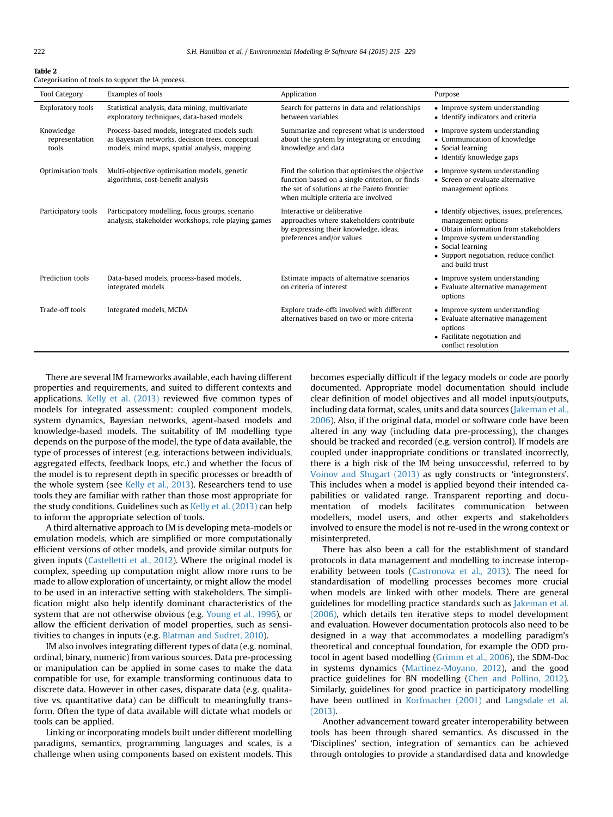#### <span id="page-7-0"></span>Table 2

Categorisation of tools to support the IA process.

| <b>Tool Category</b>                 | Examples of tools                                                                                                                                | Application                                                                                                                                                                            | Purpose                                                                                                                                                                                                                         |
|--------------------------------------|--------------------------------------------------------------------------------------------------------------------------------------------------|----------------------------------------------------------------------------------------------------------------------------------------------------------------------------------------|---------------------------------------------------------------------------------------------------------------------------------------------------------------------------------------------------------------------------------|
| <b>Exploratory tools</b>             | Statistical analysis, data mining, multivariate<br>exploratory techniques, data-based models                                                     | Search for patterns in data and relationships<br>between variables                                                                                                                     | • Improve system understanding<br>• Identify indicators and criteria                                                                                                                                                            |
| Knowledge<br>representation<br>tools | Process-based models, integrated models such<br>as Bayesian networks, decision trees, conceptual<br>models, mind maps, spatial analysis, mapping | Summarize and represent what is understood<br>about the system by integrating or encoding<br>knowledge and data                                                                        | • Improve system understanding<br>• Communication of knowledge<br>• Social learning<br>• Identify knowledge gaps                                                                                                                |
| Optimisation tools                   | Multi-objective optimisation models, genetic<br>algorithms, cost-benefit analysis                                                                | Find the solution that optimises the objective<br>function based on a single criterion, or finds<br>the set of solutions at the Pareto frontier<br>when multiple criteria are involved | • Improve system understanding<br>• Screen or evaluate alternative<br>management options                                                                                                                                        |
| Participatory tools                  | Participatory modelling, focus groups, scenario<br>analysis, stakeholder workshops, role playing games                                           | Interactive or deliberative<br>approaches where stakeholders contribute<br>by expressing their knowledge, ideas,<br>preferences and/or values                                          | • Identify objectives, issues, preferences,<br>management options<br>• Obtain information from stakeholders<br>• Improve system understanding<br>• Social learning<br>• Support negotiation, reduce conflict<br>and build trust |
| Prediction tools                     | Data-based models, process-based models,<br>integrated models                                                                                    | Estimate impacts of alternative scenarios<br>on criteria of interest                                                                                                                   | • Improve system understanding<br>• Evaluate alternative management<br>options                                                                                                                                                  |
| Trade-off tools                      | Integrated models, MCDA                                                                                                                          | Explore trade-offs involved with different<br>alternatives based on two or more criteria                                                                                               | • Improve system understanding<br>• Evaluate alternative management<br>options<br>• Facilitate negotiation and<br>conflict resolution                                                                                           |

There are several IM frameworks available, each having different properties and requirements, and suited to different contexts and applications. [Kelly et al. \(2013\)](#page-12-0) reviewed five common types of models for integrated assessment: coupled component models, system dynamics, Bayesian networks, agent-based models and knowledge-based models. The suitability of IM modelling type depends on the purpose of the model, the type of data available, the type of processes of interest (e.g. interactions between individuals, aggregated effects, feedback loops, etc.) and whether the focus of the model is to represent depth in specific processes or breadth of the whole system (see [Kelly et al., 2013\)](#page-12-0). Researchers tend to use tools they are familiar with rather than those most appropriate for the study conditions. Guidelines such as [Kelly et al. \(2013\)](#page-12-0) can help to inform the appropriate selection of tools.

A third alternative approach to IM is developing meta-models or emulation models, which are simplified or more computationally efficient versions of other models, and provide similar outputs for given inputs ([Castelletti et al., 2012\)](#page-12-0). Where the original model is complex, speeding up computation might allow more runs to be made to allow exploration of uncertainty, or might allow the model to be used in an interactive setting with stakeholders. The simplification might also help identify dominant characteristics of the system that are not otherwise obvious (e.g. [Young et al., 1996](#page-14-0)), or allow the efficient derivation of model properties, such as sensitivities to changes in inputs (e.g. [Blatman and Sudret, 2010\)](#page-11-0).

IM also involves integrating different types of data (e.g. nominal, ordinal, binary, numeric) from various sources. Data pre-processing or manipulation can be applied in some cases to make the data compatible for use, for example transforming continuous data to discrete data. However in other cases, disparate data (e.g. qualitative vs. quantitative data) can be difficult to meaningfully transform. Often the type of data available will dictate what models or tools can be applied.

Linking or incorporating models built under different modelling paradigms, semantics, programming languages and scales, is a challenge when using components based on existent models. This becomes especially difficult if the legacy models or code are poorly documented. Appropriate model documentation should include clear definition of model objectives and all model inputs/outputs, including data format, scales, units and data sources [\(Jakeman et al.,](#page-12-0) [2006](#page-12-0)). Also, if the original data, model or software code have been altered in any way (including data pre-processing), the changes should be tracked and recorded (e.g. version control). If models are coupled under inappropriate conditions or translated incorrectly, there is a high risk of the IM being unsuccessful, referred to by [Voinov and Shugart \(2013\)](#page-13-0) as ugly constructs or 'integronsters'. This includes when a model is applied beyond their intended capabilities or validated range. Transparent reporting and documentation of models facilitates communication between modellers, model users, and other experts and stakeholders involved to ensure the model is not re-used in the wrong context or misinterpreted.

There has also been a call for the establishment of standard protocols in data management and modelling to increase interoperability between tools [\(Castronova et al., 2013\)](#page-12-0). The need for standardisation of modelling processes becomes more crucial when models are linked with other models. There are general guidelines for modelling practice standards such as [Jakeman et al.](#page-12-0) [\(2006\)](#page-12-0), which details ten iterative steps to model development and evaluation. However documentation protocols also need to be designed in a way that accommodates a modelling paradigm's theoretical and conceptual foundation, for example the ODD protocol in agent based modelling ([Grimm et al., 2006](#page-12-0)), the SDM-Doc in systems dynamics [\(Martinez-Moyano, 2012](#page-13-0)), and the good practice guidelines for BN modelling [\(Chen and Pollino, 2012\)](#page-12-0). Similarly, guidelines for good practice in participatory modelling have been outlined in [Korfmacher \(2001\)](#page-12-0) and [Langsdale et al.](#page-12-0) [\(2013\)](#page-12-0).

Another advancement toward greater interoperability between tools has been through shared semantics. As discussed in the 'Disciplines' section, integration of semantics can be achieved through ontologies to provide a standardised data and knowledge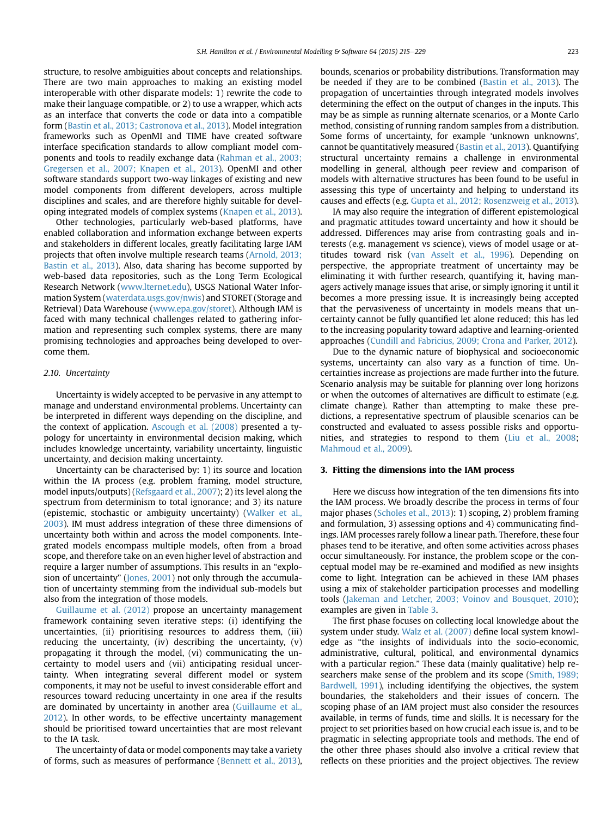<span id="page-8-0"></span>structure, to resolve ambiguities about concepts and relationships. There are two main approaches to making an existing model interoperable with other disparate models: 1) rewrite the code to make their language compatible, or 2) to use a wrapper, which acts as an interface that converts the code or data into a compatible form ([Bastin et al., 2013; Castronova et al., 2013](#page-11-0)). Model integration frameworks such as OpenMI and TIME have created software interface specification standards to allow compliant model components and tools to readily exchange data ([Rahman et al., 2003;](#page-13-0) [Gregersen et al., 2007; Knapen et al., 2013](#page-13-0)). OpenMI and other software standards support two-way linkages of existing and new model components from different developers, across multiple disciplines and scales, and are therefore highly suitable for developing integrated models of complex systems ([Knapen et al., 2013\)](#page-12-0).

Other technologies, particularly web-based platforms, have enabled collaboration and information exchange between experts and stakeholders in different locales, greatly facilitating large IAM projects that often involve multiple research teams [\(Arnold, 2013;](#page-11-0) [Bastin et al., 2013](#page-11-0)). Also, data sharing has become supported by web-based data repositories, such as the Long Term Ecological Research Network [\(www.lternet.edu](http://www.lternet.edu)), USGS National Water Information System ([waterdata.usgs.gov/nwis\)](http://waterdata.usgs.gov/nwis) and STORET (Storage and Retrieval) Data Warehouse ([www.epa.gov/storet](http://www.epa.gov/storet)). Although IAM is faced with many technical challenges related to gathering information and representing such complex systems, there are many promising technologies and approaches being developed to overcome them.

### 2.10. Uncertainty

Uncertainty is widely accepted to be pervasive in any attempt to manage and understand environmental problems. Uncertainty can be interpreted in different ways depending on the discipline, and the context of application. [Ascough et al. \(2008\)](#page-11-0) presented a typology for uncertainty in environmental decision making, which includes knowledge uncertainty, variability uncertainty, linguistic uncertainty, and decision making uncertainty.

Uncertainty can be characterised by: 1) its source and location within the IA process (e.g. problem framing, model structure, model inputs/outputs) ([Refsgaard et al., 2007\)](#page-13-0); 2) its level along the spectrum from determinism to total ignorance; and 3) its nature (epistemic, stochastic or ambiguity uncertainty) ([Walker et al.,](#page-13-0) [2003\)](#page-13-0). IM must address integration of these three dimensions of uncertainty both within and across the model components. Integrated models encompass multiple models, often from a broad scope, and therefore take on an even higher level of abstraction and require a larger number of assumptions. This results in an "explosion of uncertainty" [\(Jones, 2001\)](#page-12-0) not only through the accumulation of uncertainty stemming from the individual sub-models but also from the integration of those models.

[Guillaume et al. \(2012\)](#page-12-0) propose an uncertainty management framework containing seven iterative steps: (i) identifying the uncertainties, (ii) prioritising resources to address them, (iii) reducing the uncertainty, (iv) describing the uncertainty, (v) propagating it through the model, (vi) communicating the uncertainty to model users and (vii) anticipating residual uncertainty. When integrating several different model or system components, it may not be useful to invest considerable effort and resources toward reducing uncertainty in one area if the results are dominated by uncertainty in another area [\(Guillaume et al.,](#page-12-0) [2012](#page-12-0)). In other words, to be effective uncertainty management should be prioritised toward uncertainties that are most relevant to the IA task.

The uncertainty of data or model components may take a variety of forms, such as measures of performance [\(Bennett et al., 2013\)](#page-11-0), bounds, scenarios or probability distributions. Transformation may be needed if they are to be combined [\(Bastin et al., 2013\)](#page-11-0). The propagation of uncertainties through integrated models involves determining the effect on the output of changes in the inputs. This may be as simple as running alternate scenarios, or a Monte Carlo method, consisting of running random samples from a distribution. Some forms of uncertainty, for example 'unknown unknowns', cannot be quantitatively measured [\(Bastin et al., 2013](#page-11-0)). Quantifying structural uncertainty remains a challenge in environmental modelling in general, although peer review and comparison of models with alternative structures has been found to be useful in assessing this type of uncertainty and helping to understand its causes and effects (e.g. [Gupta et al., 2012; Rosenzweig et al., 2013\)](#page-12-0).

IA may also require the integration of different epistemological and pragmatic attitudes toward uncertainty and how it should be addressed. Differences may arise from contrasting goals and interests (e.g. management vs science), views of model usage or attitudes toward risk [\(van Asselt et al., 1996\)](#page-13-0). Depending on perspective, the appropriate treatment of uncertainty may be eliminating it with further research, quantifying it, having managers actively manage issues that arise, or simply ignoring it until it becomes a more pressing issue. It is increasingly being accepted that the pervasiveness of uncertainty in models means that uncertainty cannot be fully quantified let alone reduced; this has led to the increasing popularity toward adaptive and learning-oriented approaches [\(Cundill and Fabricius, 2009; Crona and Parker, 2012](#page-12-0)).

Due to the dynamic nature of biophysical and socioeconomic systems, uncertainty can also vary as a function of time. Uncertainties increase as projections are made further into the future. Scenario analysis may be suitable for planning over long horizons or when the outcomes of alternatives are difficult to estimate (e.g. climate change). Rather than attempting to make these predictions, a representative spectrum of plausible scenarios can be constructed and evaluated to assess possible risks and opportunities, and strategies to respond to them ([Liu et al., 2008;](#page-13-0) [Mahmoud et al., 2009\)](#page-13-0).

#### 3. Fitting the dimensions into the IAM process

Here we discuss how integration of the ten dimensions fits into the IAM process. We broadly describe the process in terms of four major phases ([Scholes et al., 2013\)](#page-13-0): 1) scoping, 2) problem framing and formulation, 3) assessing options and 4) communicating findings. IAM processes rarely follow a linear path. Therefore, these four phases tend to be iterative, and often some activities across phases occur simultaneously. For instance, the problem scope or the conceptual model may be re-examined and modified as new insights come to light. Integration can be achieved in these IAM phases using a mix of stakeholder participation processes and modelling tools ([Jakeman and Letcher, 2003; Voinov and Bousquet, 2010\)](#page-12-0); examples are given in [Table 3.](#page-9-0)

The first phase focuses on collecting local knowledge about the system under study. [Walz et al. \(2007\)](#page-13-0) define local system knowledge as "the insights of individuals into the socio-economic, administrative, cultural, political, and environmental dynamics with a particular region." These data (mainly qualitative) help researchers make sense of the problem and its scope ([Smith, 1989;](#page-13-0) [Bardwell, 1991](#page-13-0)), including identifying the objectives, the system boundaries, the stakeholders and their issues of concern. The scoping phase of an IAM project must also consider the resources available, in terms of funds, time and skills. It is necessary for the project to set priorities based on how crucial each issue is, and to be pragmatic in selecting appropriate tools and methods. The end of the other three phases should also involve a critical review that reflects on these priorities and the project objectives. The review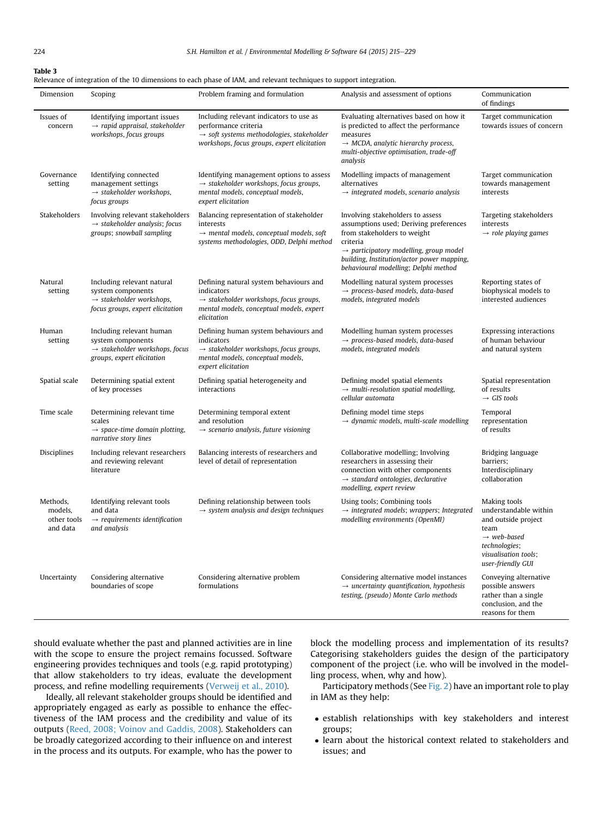#### <span id="page-9-0"></span>Table 3

|  | Relevance of integration of the 10 dimensions to each phase of IAM, and relevant techniques to support integration. |  |  |
|--|---------------------------------------------------------------------------------------------------------------------|--|--|
|--|---------------------------------------------------------------------------------------------------------------------|--|--|

| Dimension                                      | Scoping                                                                                                                     | Problem framing and formulation                                                                                                                                         | Analysis and assessment of options                                                                                                                                                                                                                                | Communication<br>of findings                                                                                                                                  |
|------------------------------------------------|-----------------------------------------------------------------------------------------------------------------------------|-------------------------------------------------------------------------------------------------------------------------------------------------------------------------|-------------------------------------------------------------------------------------------------------------------------------------------------------------------------------------------------------------------------------------------------------------------|---------------------------------------------------------------------------------------------------------------------------------------------------------------|
| Issues of<br>concern                           | Identifying important issues<br>$\rightarrow$ rapid appraisal, stakeholder<br>workshops, focus groups                       | Including relevant indicators to use as<br>performance criteria<br>$\rightarrow$ soft systems methodologies, stakeholder<br>workshops, focus groups, expert elicitation | Evaluating alternatives based on how it<br>is predicted to affect the performance<br>measures<br>$\rightarrow$ MCDA, analytic hierarchy process,<br>multi-objective optimisation, trade-off<br>analysis                                                           | Target communication<br>towards issues of concern                                                                                                             |
| Governance<br>setting                          | Identifying connected<br>management settings<br>$\rightarrow$ stakeholder workshops,<br>focus groups                        | Identifying management options to assess<br>$\rightarrow$ stakeholder workshops, focus groups,<br>mental models, conceptual models,<br>expert elicitation               | Modelling impacts of management<br>alternatives<br>$\rightarrow$ integrated models, scenario analysis                                                                                                                                                             | Target communication<br>towards management<br>interests                                                                                                       |
| Stakeholders                                   | Involving relevant stakeholders<br>$\rightarrow$ stakeholder analysis; focus<br>groups; snowball sampling                   | Balancing representation of stakeholder<br>interests<br>$\rightarrow$ mental models, conceptual models, soft<br>systems methodologies, ODD, Delphi method               | Involving stakeholders to assess<br>assumptions used; Deriving preferences<br>from stakeholders to weight<br>criteria<br>$\rightarrow$ participatory modelling, group model<br>building, Institution/actor power mapping,<br>behavioural modelling; Delphi method | Targeting stakeholders<br>interests<br>$\rightarrow$ role playing games                                                                                       |
| Natural<br>setting                             | Including relevant natural<br>system components<br>$\rightarrow$ stakeholder workshops,<br>focus groups, expert elicitation | Defining natural system behaviours and<br>indicators<br>$\rightarrow$ stakeholder workshops, focus groups,<br>mental models, conceptual models, expert<br>elicitation   | Modelling natural system processes<br>$\rightarrow$ process-based models, data-based<br>models, integrated models                                                                                                                                                 | Reporting states of<br>biophysical models to<br>interested audiences                                                                                          |
| Human<br>setting                               | Including relevant human<br>system components<br>$\rightarrow$ stakeholder workshops, focus<br>groups, expert elicitation   | Defining human system behaviours and<br>indicators<br>$\rightarrow$ stakeholder workshops, focus groups,<br>mental models, conceptual models,<br>expert elicitation     | Modelling human system processes<br>$\rightarrow$ process-based models, data-based<br>models, integrated models                                                                                                                                                   | <b>Expressing interactions</b><br>of human behaviour<br>and natural system                                                                                    |
| Spatial scale                                  | Determining spatial extent<br>of key processes                                                                              | Defining spatial heterogeneity and<br>interactions                                                                                                                      | Defining model spatial elements<br>$\rightarrow$ multi-resolution spatial modelling,<br>cellular automata                                                                                                                                                         | Spatial representation<br>of results<br>$\rightarrow$ GIS tools                                                                                               |
| Time scale                                     | Determining relevant time<br>scales<br>$\rightarrow$ space-time domain plotting,<br>narrative story lines                   | Determining temporal extent<br>and resolution<br>$\rightarrow$ scenario analysis, future visioning                                                                      | Defining model time steps<br>$\rightarrow$ dynamic models, multi-scale modelling                                                                                                                                                                                  | Temporal<br>representation<br>of results                                                                                                                      |
| <b>Disciplines</b>                             | Including relevant researchers<br>and reviewing relevant<br>literature                                                      | Balancing interests of researchers and<br>level of detail of representation                                                                                             | Collaborative modelling; Involving<br>researchers in assessing their<br>connection with other components<br>$\rightarrow$ standard ontologies, declarative<br>modelling, expert review                                                                            | Bridging language<br>barriers;<br>Interdisciplinary<br>collaboration                                                                                          |
| Methods,<br>models,<br>other tools<br>and data | Identifying relevant tools<br>and data<br>$\rightarrow$ requirements identification<br>and analysis                         | Defining relationship between tools<br>$\rightarrow$ system analysis and design techniques                                                                              | Using tools; Combining tools<br>$\rightarrow$ integrated models; wrappers; Integrated<br>modelling environments (OpenMI)                                                                                                                                          | Making tools<br>understandable within<br>and outside project<br>team<br>$\rightarrow$ web-based<br>technologies;<br>visualisation tools;<br>user-friendly GUI |
| Uncertainty                                    | Considering alternative<br>boundaries of scope                                                                              | Considering alternative problem<br>formulations                                                                                                                         | Considering alternative model instances<br>$\rightarrow$ uncertainty quantification, hypothesis<br>testing, (pseudo) Monte Carlo methods                                                                                                                          | Conveying alternative<br>possible answers<br>rather than a single<br>conclusion, and the<br>reasons for them                                                  |

should evaluate whether the past and planned activities are in line with the scope to ensure the project remains focussed. Software engineering provides techniques and tools (e.g. rapid prototyping) that allow stakeholders to try ideas, evaluate the development process, and refine modelling requirements [\(Verweij et al., 2010\)](#page-13-0).

Ideally, all relevant stakeholder groups should be identified and appropriately engaged as early as possible to enhance the effectiveness of the IAM process and the credibility and value of its outputs ([Reed, 2008; Voinov and Gaddis, 2008\)](#page-13-0). Stakeholders can be broadly categorized according to their influence on and interest in the process and its outputs. For example, who has the power to block the modelling process and implementation of its results? Categorising stakeholders guides the design of the participatory component of the project (i.e. who will be involved in the modelling process, when, why and how).

Participatory methods (See [Fig. 2\)](#page-10-0) have an important role to play in IAM as they help:

- establish relationships with key stakeholders and interest groups;
- learn about the historical context related to stakeholders and issues; and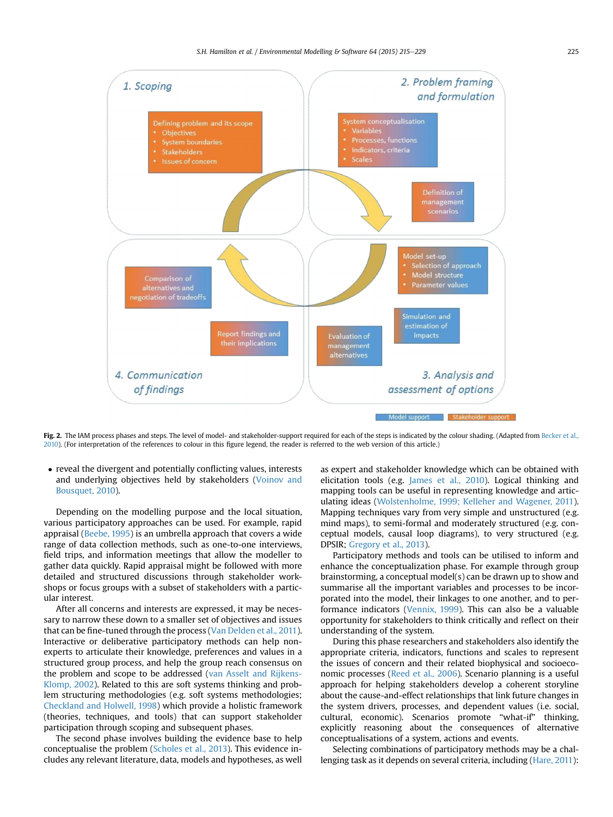<span id="page-10-0"></span>

Fig. 2. The IAM process phases and steps. The level of model- and stakeholder-support required for each of the steps is indicated by the colour shading. (Adapted from [Becker et al.,](#page-11-0) [2010\)](#page-11-0). (For interpretation of the references to colour in this figure legend, the reader is referred to the web version of this article.)

• reveal the divergent and potentially conflicting values, interests and underlying objectives held by stakeholders ([Voinov and](#page-13-0) [Bousquet, 2010](#page-13-0)).

Depending on the modelling purpose and the local situation, various participatory approaches can be used. For example, rapid appraisal ([Beebe, 1995\)](#page-11-0) is an umbrella approach that covers a wide range of data collection methods, such as one-to-one interviews, field trips, and information meetings that allow the modeller to gather data quickly. Rapid appraisal might be followed with more detailed and structured discussions through stakeholder workshops or focus groups with a subset of stakeholders with a particular interest.

After all concerns and interests are expressed, it may be necessary to narrow these down to a smaller set of objectives and issues that can be fine-tuned through the process [\(Van Delden et al., 2011\)](#page-13-0). Interactive or deliberative participatory methods can help nonexperts to articulate their knowledge, preferences and values in a structured group process, and help the group reach consensus on the problem and scope to be addressed [\(van Asselt and Rijkens-](#page-13-0)[Klomp, 2002](#page-13-0)). Related to this are soft systems thinking and problem structuring methodologies (e.g. soft systems methodologies; [Checkland and Holwell, 1998\)](#page-12-0) which provide a holistic framework (theories, techniques, and tools) that can support stakeholder participation through scoping and subsequent phases.

The second phase involves building the evidence base to help conceptualise the problem ([Scholes et al., 2013\)](#page-13-0). This evidence includes any relevant literature, data, models and hypotheses, as well as expert and stakeholder knowledge which can be obtained with elicitation tools (e.g. [James et al., 2010\)](#page-12-0). Logical thinking and mapping tools can be useful in representing knowledge and articulating ideas [\(Wolstenholme, 1999; Kelleher and Wagener, 2011\)](#page-14-0). Mapping techniques vary from very simple and unstructured (e.g. mind maps), to semi-formal and moderately structured (e.g. conceptual models, causal loop diagrams), to very structured (e.g. DPSIR; [Gregory et al., 2013\)](#page-12-0).

Participatory methods and tools can be utilised to inform and enhance the conceptualization phase. For example through group brainstorming, a conceptual model(s) can be drawn up to show and summarise all the important variables and processes to be incorporated into the model, their linkages to one another, and to performance indicators [\(Vennix, 1999\)](#page-13-0). This can also be a valuable opportunity for stakeholders to think critically and reflect on their understanding of the system.

During this phase researchers and stakeholders also identify the appropriate criteria, indicators, functions and scales to represent the issues of concern and their related biophysical and socioeconomic processes [\(Reed et al., 2006](#page-13-0)). Scenario planning is a useful approach for helping stakeholders develop a coherent storyline about the cause-and-effect relationships that link future changes in the system drivers, processes, and dependent values (i.e. social, cultural, economic). Scenarios promote "what-if" thinking, explicitly reasoning about the consequences of alternative conceptualisations of a system, actions and events.

Selecting combinations of participatory methods may be a challenging task as it depends on several criteria, including ([Hare, 2011\)](#page-12-0):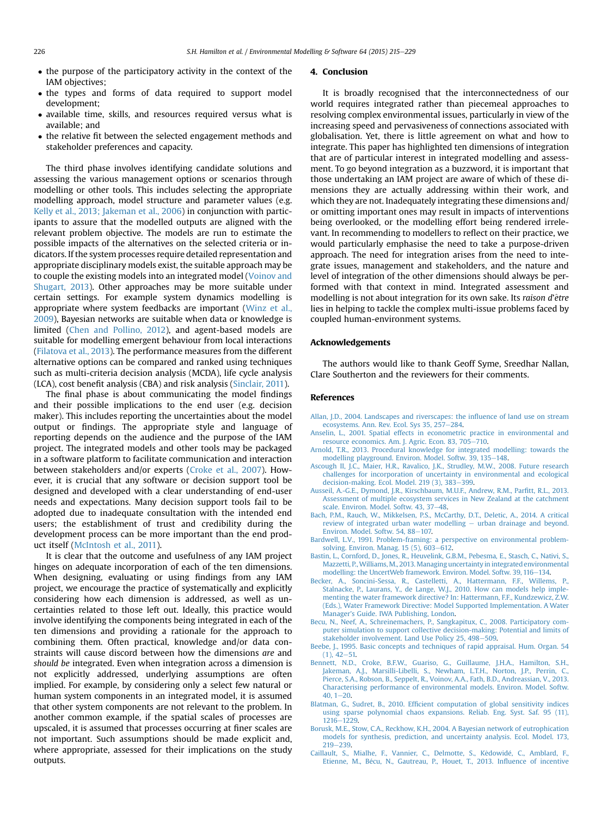- <span id="page-11-0"></span>• the purpose of the participatory activity in the context of the IAM objectives;
- the types and forms of data required to support model development;
- available time, skills, and resources required versus what is available; and
- the relative fit between the selected engagement methods and stakeholder preferences and capacity.

The third phase involves identifying candidate solutions and assessing the various management options or scenarios through modelling or other tools. This includes selecting the appropriate modelling approach, model structure and parameter values (e.g. [Kelly et al., 2013; Jakeman et al., 2006](#page-12-0)) in conjunction with participants to assure that the modelled outputs are aligned with the relevant problem objective. The models are run to estimate the possible impacts of the alternatives on the selected criteria or indicators. If the system processes require detailed representation and appropriate disciplinary models exist, the suitable approach may be to couple the existing models into an integrated model ([Voinov and](#page-13-0) [Shugart, 2013\)](#page-13-0). Other approaches may be more suitable under certain settings. For example system dynamics modelling is appropriate where system feedbacks are important ([Winz et al.,](#page-13-0) [2009](#page-13-0)), Bayesian networks are suitable when data or knowledge is limited [\(Chen and Pollino, 2012](#page-12-0)), and agent-based models are suitable for modelling emergent behaviour from local interactions ([Filatova et al., 2013\)](#page-12-0). The performance measures from the different alternative options can be compared and ranked using techniques such as multi-criteria decision analysis (MCDA), life cycle analysis (LCA), cost benefit analysis (CBA) and risk analysis ([Sinclair, 2011](#page-13-0)).

The final phase is about communicating the model findings and their possible implications to the end user (e.g. decision maker). This includes reporting the uncertainties about the model output or findings. The appropriate style and language of reporting depends on the audience and the purpose of the IAM project. The integrated models and other tools may be packaged in a software platform to facilitate communication and interaction between stakeholders and/or experts ([Croke et al., 2007](#page-12-0)). However, it is crucial that any software or decision support tool be designed and developed with a clear understanding of end-user needs and expectations. Many decision support tools fail to be adopted due to inadequate consultation with the intended end users; the establishment of trust and credibility during the development process can be more important than the end product itself [\(McIntosh et al., 2011](#page-13-0)).

It is clear that the outcome and usefulness of any IAM project hinges on adequate incorporation of each of the ten dimensions. When designing, evaluating or using findings from any IAM project, we encourage the practice of systematically and explicitly considering how each dimension is addressed, as well as uncertainties related to those left out. Ideally, this practice would involve identifying the components being integrated in each of the ten dimensions and providing a rationale for the approach to combining them. Often practical, knowledge and/or data constraints will cause discord between how the dimensions are and should be integrated. Even when integration across a dimension is not explicitly addressed, underlying assumptions are often implied. For example, by considering only a select few natural or human system components in an integrated model, it is assumed that other system components are not relevant to the problem. In another common example, if the spatial scales of processes are upscaled, it is assumed that processes occurring at finer scales are not important. Such assumptions should be made explicit and, where appropriate, assessed for their implications on the study outputs.

#### 4. Conclusion

It is broadly recognised that the interconnectedness of our world requires integrated rather than piecemeal approaches to resolving complex environmental issues, particularly in view of the increasing speed and pervasiveness of connections associated with globalisation. Yet, there is little agreement on what and how to integrate. This paper has highlighted ten dimensions of integration that are of particular interest in integrated modelling and assessment. To go beyond integration as a buzzword, it is important that those undertaking an IAM project are aware of which of these dimensions they are actually addressing within their work, and which they are not. Inadequately integrating these dimensions and/ or omitting important ones may result in impacts of interventions being overlooked, or the modelling effort being rendered irrelevant. In recommending to modellers to reflect on their practice, we would particularly emphasise the need to take a purpose-driven approach. The need for integration arises from the need to integrate issues, management and stakeholders, and the nature and level of integration of the other dimensions should always be performed with that context in mind. Integrated assessment and modelling is not about integration for its own sake. Its raison d'être lies in helping to tackle the complex multi-issue problems faced by coupled human-environment systems.

# Acknowledgements

The authors would like to thank Geoff Syme, Sreedhar Nallan, Clare Southerton and the reviewers for their comments.

#### References

- [Allan, J.D., 2004. Landscapes and riverscapes: the in](http://refhub.elsevier.com/S1364-8152(14)00360-0/sref1a)fluence of land use on stream [ecosystems. Ann. Rev. Ecol. Sys 35, 257](http://refhub.elsevier.com/S1364-8152(14)00360-0/sref1a)-[284](http://refhub.elsevier.com/S1364-8152(14)00360-0/sref1a).
- [Anselin, L., 2001. Spatial effects in econometric practice in environmental and](http://refhub.elsevier.com/S1364-8152(14)00360-0/sref1) [resource economics. Am. J. Agric. Econ. 83, 705](http://refhub.elsevier.com/S1364-8152(14)00360-0/sref1)-[710](http://refhub.elsevier.com/S1364-8152(14)00360-0/sref1).
- [Arnold, T.R., 2013. Procedural knowledge for integrated modelling: towards the](http://refhub.elsevier.com/S1364-8152(14)00360-0/sref2) [modelling playground. Environ. Model. Softw. 39, 135](http://refhub.elsevier.com/S1364-8152(14)00360-0/sref2)-[148](http://refhub.elsevier.com/S1364-8152(14)00360-0/sref2).
- [Ascough II, J.C., Maier, H.R., Ravalico, J.K., Strudley, M.W., 2008. Future research](http://refhub.elsevier.com/S1364-8152(14)00360-0/sref3) [challenges for incorporation of uncertainty in environmental and ecological](http://refhub.elsevier.com/S1364-8152(14)00360-0/sref3) decision-making. Ecol. Model.  $219(3)$ ,  $383-399$ .
- [Ausseil, A.-G.E., Dymond, J.R., Kirschbaum, M.U.F., Andrew, R.M., Par](http://refhub.elsevier.com/S1364-8152(14)00360-0/sref4)fitt, R.L., 2013. [Assessment of multiple ecosystem services in New Zealand at the catchment](http://refhub.elsevier.com/S1364-8152(14)00360-0/sref4) [scale. Environ. Model. Softw. 43, 37](http://refhub.elsevier.com/S1364-8152(14)00360-0/sref4)-[48](http://refhub.elsevier.com/S1364-8152(14)00360-0/sref4).
- [Bach, P.M., Rauch, W., Mikkelsen, P.S., McCarthy, D.T., Deletic, A., 2014. A critical](http://refhub.elsevier.com/S1364-8152(14)00360-0/sref5) [review of integrated urban water modelling](http://refhub.elsevier.com/S1364-8152(14)00360-0/sref5)  $-$  [urban drainage and beyond.](http://refhub.elsevier.com/S1364-8152(14)00360-0/sref5) [Environ. Model. Softw. 54, 88](http://refhub.elsevier.com/S1364-8152(14)00360-0/sref5)-[107.](http://refhub.elsevier.com/S1364-8152(14)00360-0/sref5)
- Bardwell, L.V., 1991. Problem-framing: a perspective on environmental problem-<br>[solving. Environ. Manag. 15 \(5\), 603](http://refhub.elsevier.com/S1364-8152(14)00360-0/sref6)–[612](http://refhub.elsevier.com/S1364-8152(14)00360-0/sref6).
- [Bastin, L., Cornford, D., Jones, R., Heuvelink, G.B.M., Pebesma, E., Stasch, C., Nativi, S.,](http://refhub.elsevier.com/S1364-8152(14)00360-0/sref7) [Mazzetti, P.,Williams,M., 2013. Managing uncertainty in integrated environmental](http://refhub.elsevier.com/S1364-8152(14)00360-0/sref7) [modelling: the UncertWeb framework. Environ. Model. Softw. 39, 116](http://refhub.elsevier.com/S1364-8152(14)00360-0/sref7)-[134](http://refhub.elsevier.com/S1364-8152(14)00360-0/sref7).
- [Becker, A., Soncini-Sessa, R., Castelletti, A., Hattermann, F.F., Willems, P.,](http://refhub.elsevier.com/S1364-8152(14)00360-0/sref8) [Stalnacke, P., Laurans, Y., de Lange, W.J., 2010. How can models help imple](http://refhub.elsevier.com/S1364-8152(14)00360-0/sref8)[menting the water framework directive? In: Hattermann, F.F., Kundzewicz, Z.W.](http://refhub.elsevier.com/S1364-8152(14)00360-0/sref8) [\(Eds.\), Water Framework Directive: Model Supported Implementation. A Water](http://refhub.elsevier.com/S1364-8152(14)00360-0/sref8) [Manager's Guide. IWA Publishing, London.](http://refhub.elsevier.com/S1364-8152(14)00360-0/sref8)
- [Becu, N., Neef, A., Schreinemachers, P., Sangkapitux, C., 2008. Participatory com](http://refhub.elsevier.com/S1364-8152(14)00360-0/sref125)[puter simulation to support collective decision-making: Potential and limits of](http://refhub.elsevier.com/S1364-8152(14)00360-0/sref125) [stakeholder involvement. Land Use Policy 25, 498](http://refhub.elsevier.com/S1364-8152(14)00360-0/sref125)-[509.](http://refhub.elsevier.com/S1364-8152(14)00360-0/sref125)
- [Beebe, J., 1995. Basic concepts and techniques of rapid appraisal. Hum. Organ. 54](http://refhub.elsevier.com/S1364-8152(14)00360-0/sref9)  $(1), 42-51.$  $(1), 42-51.$  $(1), 42-51.$
- [Bennett, N.D., Croke, B.F.W., Guariso, G., Guillaume, J.H.A., Hamilton, S.H.,](http://refhub.elsevier.com/S1364-8152(14)00360-0/sref10) [Jakeman, A.J., Marsilli-Libelli, S., Newham, L.T.H., Norton, J.P., Perrin, C.,](http://refhub.elsevier.com/S1364-8152(14)00360-0/sref10) [Pierce, S.A., Robson, B., Seppelt, R., Voinov, A.A., Fath, B.D., Andreassian, V., 2013.](http://refhub.elsevier.com/S1364-8152(14)00360-0/sref10) [Characterising performance of environmental models. Environ. Model. Softw.](http://refhub.elsevier.com/S1364-8152(14)00360-0/sref10)  $40.1 - 20.$  $40.1 - 20.$
- Blatman, G., Sudret, B., 2010. Effi[cient computation of global sensitivity indices](http://refhub.elsevier.com/S1364-8152(14)00360-0/sref11) [using sparse polynomial chaos expansions. Reliab. Eng. Syst. Saf. 95 \(11\),](http://refhub.elsevier.com/S1364-8152(14)00360-0/sref11) [1216](http://refhub.elsevier.com/S1364-8152(14)00360-0/sref11)-[1229.](http://refhub.elsevier.com/S1364-8152(14)00360-0/sref11)
- [Borusk, M.E., Stow, C.A., Reckhow, K.H., 2004. A Bayesian network of eutrophication](http://refhub.elsevier.com/S1364-8152(14)00360-0/sref12) [models for synthesis, prediction, and uncertainty analysis. Ecol. Model. 173,](http://refhub.elsevier.com/S1364-8152(14)00360-0/sref12) [219](http://refhub.elsevier.com/S1364-8152(14)00360-0/sref12)-[239.](http://refhub.elsevier.com/S1364-8152(14)00360-0/sref12)
- [Caillault, S., Mialhe, F., Vannier, C., Delmotte, S., K](http://refhub.elsevier.com/S1364-8152(14)00360-0/sref14)ê[dowid](http://refhub.elsevier.com/S1364-8152(14)00360-0/sref14)é, C., Amblard, F., Etienne, M., Bécu, N., Gautreau, P., Houet, T., 2013. Influence of incentive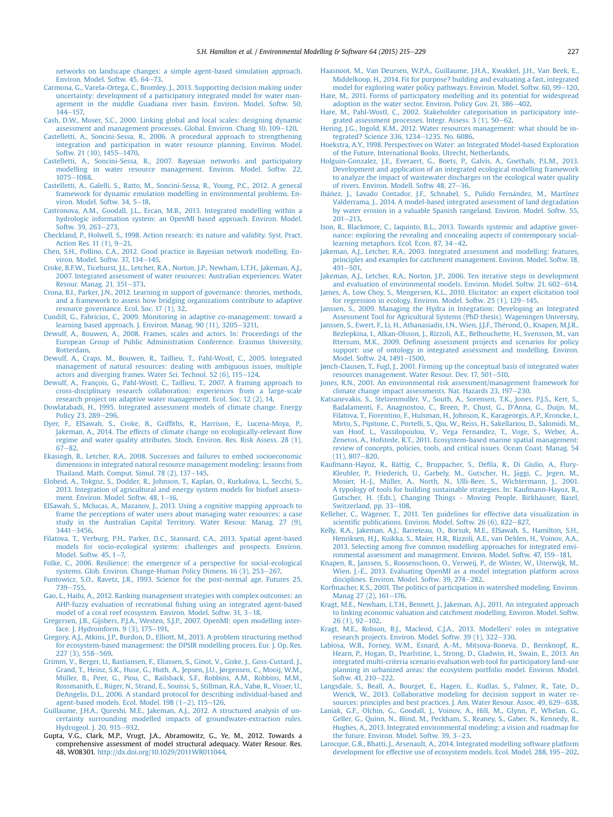<span id="page-12-0"></span>[networks on landscape changes: a simple agent-based simulation approach.](http://refhub.elsevier.com/S1364-8152(14)00360-0/sref14) Environ. Model. Softw.  $45, 64-73$ .

- [Carmona, G., Varela-Ortega, C., Bromley, J., 2013. Supporting decision making under](http://refhub.elsevier.com/S1364-8152(14)00360-0/sref15) [uncertainty: development of a participatory integrated model for water man](http://refhub.elsevier.com/S1364-8152(14)00360-0/sref15)[agement in the middle Guadiana river basin. Environ. Model. Softw. 50,](http://refhub.elsevier.com/S1364-8152(14)00360-0/sref15)  $144 - 157$  $144 - 157$
- [Cash, D.W., Moser, S.C., 2000. Linking global and local scales: designing dynamic](http://refhub.elsevier.com/S1364-8152(14)00360-0/sref3a) [assessment and management processes. Global. Environ. Chang 10, 109](http://refhub.elsevier.com/S1364-8152(14)00360-0/sref3a)-[120](http://refhub.elsevier.com/S1364-8152(14)00360-0/sref3a).
- [Castelletti, A., Soncini-Sessa, R., 2006. A procedural approach to strengthening](http://refhub.elsevier.com/S1364-8152(14)00360-0/sref16) [integration and participation in water resource planning. Environ. Model.](http://refhub.elsevier.com/S1364-8152(14)00360-0/sref16) [Softw. 21 \(10\), 1455](http://refhub.elsevier.com/S1364-8152(14)00360-0/sref16)-[1470.](http://refhub.elsevier.com/S1364-8152(14)00360-0/sref16)
- [Castelletti, A., Soncini-Sessa, R., 2007. Bayesian networks and participatory](http://refhub.elsevier.com/S1364-8152(14)00360-0/sref17) [modelling in water resource management. Environ. Model. Softw. 22,](http://refhub.elsevier.com/S1364-8152(14)00360-0/sref17)  $1075 - 1088$  $1075 - 1088$  $1075 - 1088$
- [Castelletti, A., Galelli, S., Ratto, M., Soncini-Sessa, R., Young, P.C., 2012. A general](http://refhub.elsevier.com/S1364-8152(14)00360-0/sref18) [framework for dynamic emulation modelling in environmental problems. En](http://refhub.elsevier.com/S1364-8152(14)00360-0/sref18)viron. Model. Softw.  $34, 5-18$ .
- [Castronova, A.M., Goodall, J.L., Ercan, M.B., 2013. Integrated modelling within a](http://refhub.elsevier.com/S1364-8152(14)00360-0/sref19) [hydrologic information system: an OpenMI based approach. Environ. Model.](http://refhub.elsevier.com/S1364-8152(14)00360-0/sref19) [Softw. 39, 263](http://refhub.elsevier.com/S1364-8152(14)00360-0/sref19)-[273](http://refhub.elsevier.com/S1364-8152(14)00360-0/sref19).
- [Checkland, P., Holwell, S., 1998. Action research: its nature and validity. Syst. Pract.](http://refhub.elsevier.com/S1364-8152(14)00360-0/sref20) [Action Res. 11 \(1\), 9](http://refhub.elsevier.com/S1364-8152(14)00360-0/sref20)-[21.](http://refhub.elsevier.com/S1364-8152(14)00360-0/sref20)
- [Chen, S.H., Pollino, C.A., 2012. Good practice in Bayesian network modelling. En](http://refhub.elsevier.com/S1364-8152(14)00360-0/sref21)[viron. Model. Softw. 37, 134](http://refhub.elsevier.com/S1364-8152(14)00360-0/sref21)-[145.](http://refhub.elsevier.com/S1364-8152(14)00360-0/sref21)
- [Croke, B.F.W., Ticehurst, J.L., Letcher, R.A., Norton, J.P., Newham, L.T.H., Jakeman, A.J.,](http://refhub.elsevier.com/S1364-8152(14)00360-0/sref22) [2007. Integrated assessment of water resources: Australian experiences. Water](http://refhub.elsevier.com/S1364-8152(14)00360-0/sref22) [Resour. Manag. 21, 351](http://refhub.elsevier.com/S1364-8152(14)00360-0/sref22)-[373.](http://refhub.elsevier.com/S1364-8152(14)00360-0/sref22)
- [Crona, B.I., Parker, J.N., 2012. Learning in support of governance: theories, methods,](http://refhub.elsevier.com/S1364-8152(14)00360-0/sref23) [and a framework to assess how bridging organizations contribute to adaptive](http://refhub.elsevier.com/S1364-8152(14)00360-0/sref23) [resource governance. Ecol. Soc. 17 \(1\), 32.](http://refhub.elsevier.com/S1364-8152(14)00360-0/sref23)
- [Cundill, G., Fabricius, C., 2009. Monitoring in adaptive co-management: toward a](http://refhub.elsevier.com/S1364-8152(14)00360-0/sref24) [learning based approach. J. Environ. Manag. 90 \(11\), 3205](http://refhub.elsevier.com/S1364-8152(14)00360-0/sref24)-[3211.](http://refhub.elsevier.com/S1364-8152(14)00360-0/sref24)
- [Dewulf, A., Bouwen, A., 2008. Frames, scales and actors. In: Proceedings of the](http://refhub.elsevier.com/S1364-8152(14)00360-0/sref25) [European Group of Public Administration Conference. Erasmus University,](http://refhub.elsevier.com/S1364-8152(14)00360-0/sref25) [Rotterdam](http://refhub.elsevier.com/S1364-8152(14)00360-0/sref25).
- [Dewulf, A., Craps, M., Bouwen, R., Taillieu, T., Pahl-Wostl, C., 2005. Integrated](http://refhub.elsevier.com/S1364-8152(14)00360-0/sref26) [management of natural resources: dealing with ambiguous issues, multiple](http://refhub.elsevier.com/S1364-8152(14)00360-0/sref26) [actors and diverging frames. Water Sci. Technol. 52 \(6\), 115](http://refhub.elsevier.com/S1364-8152(14)00360-0/sref26)-[124](http://refhub.elsevier.com/S1364-8152(14)00360-0/sref26).
- [Dewulf, A., François, G., Pahl-Wostl, C., Taillieu, T., 2007. A framing approach to](http://refhub.elsevier.com/S1364-8152(14)00360-0/sref27) [cross-disciplinary research collaboration: experiences from a large-scale](http://refhub.elsevier.com/S1364-8152(14)00360-0/sref27) [research project on adaptive water management. Ecol. Soc. 12 \(2\), 14.](http://refhub.elsevier.com/S1364-8152(14)00360-0/sref27)
- [Dowlatabadi, H., 1995. Integrated assessment models of climate change. Energy](http://refhub.elsevier.com/S1364-8152(14)00360-0/sref29) [Policy 23, 289](http://refhub.elsevier.com/S1364-8152(14)00360-0/sref29)-[296.](http://refhub.elsevier.com/S1364-8152(14)00360-0/sref29)
- Dyer, F., ElSawah, S., Croke, B., Griffi[ths, R., Harrison, E., Lucena-Moya, P.,](http://refhub.elsevier.com/S1364-8152(14)00360-0/sref30) [Jakeman, A., 2014. The effects of climate change on ecologically-relevant](http://refhub.elsevier.com/S1364-8152(14)00360-0/sref30) flow [regime and water quality attributes. Stoch. Environ. Res. Risk Assess. 28 \(1\),](http://refhub.elsevier.com/S1364-8152(14)00360-0/sref30)  $67 - 82$  $67 - 82$
- [Ekasingh, B., Letcher, R.A., 2008. Successes and failures to embed socioeconomic](http://refhub.elsevier.com/S1364-8152(14)00360-0/sref31) [dimensions in integrated natural resource management modeling: lessons from](http://refhub.elsevier.com/S1364-8152(14)00360-0/sref31) Thailand. Math. Comput. Simul. 78  $(2)$ , 137-[145](http://refhub.elsevier.com/S1364-8152(14)00360-0/sref31).
- [Elobeid, A., Tokgoz, S., Dodder, R., Johnson, T., Kaplan, O., Kurkalova, L., Secchi, S.,](http://refhub.elsevier.com/S1364-8152(14)00360-0/sref32) [2013. Integration of agricultural and energy system models for biofuel assess](http://refhub.elsevier.com/S1364-8152(14)00360-0/sref32)[ment. Environ. Model. Softw. 48, 1](http://refhub.elsevier.com/S1364-8152(14)00360-0/sref32)-[16](http://refhub.elsevier.com/S1364-8152(14)00360-0/sref32).
- [ElSawah, S., Mclucas, A., Mazanov, J., 2013. Using a cognitive mapping approach to](http://refhub.elsevier.com/S1364-8152(14)00360-0/sref33) [frame the perceptions of water users about managing water resources: a case](http://refhub.elsevier.com/S1364-8152(14)00360-0/sref33) [study in the Australian Capital Territory. Water Resour. Manag. 27 \(9\),](http://refhub.elsevier.com/S1364-8152(14)00360-0/sref33) [3441](http://refhub.elsevier.com/S1364-8152(14)00360-0/sref33)-[3456](http://refhub.elsevier.com/S1364-8152(14)00360-0/sref33).
- [Filatova, T., Verburg, P.H., Parker, D.C., Stannard, C.A., 2013. Spatial agent-based](http://refhub.elsevier.com/S1364-8152(14)00360-0/sref34) [models for socio-ecological systems: challenges and prospects. Environ.](http://refhub.elsevier.com/S1364-8152(14)00360-0/sref34) Model. Softw.  $45.1 - 7$ .
- [Folke, C., 2006. Resilience: the emergence of a perspective for social-ecological](http://refhub.elsevier.com/S1364-8152(14)00360-0/sref35) [systems. Glob. Environ. Change-Human Policy Dimens. 16 \(3\), 253](http://refhub.elsevier.com/S1364-8152(14)00360-0/sref35)-[267.](http://refhub.elsevier.com/S1364-8152(14)00360-0/sref35)
- [Funtowicz, S.O., Ravetz, J.R., 1993. Science for the post-normal age. Futures 25,](http://refhub.elsevier.com/S1364-8152(14)00360-0/sref37) [739](http://refhub.elsevier.com/S1364-8152(14)00360-0/sref37)-[755.](http://refhub.elsevier.com/S1364-8152(14)00360-0/sref37)
- [Gao, L., Hailu, A., 2012. Ranking management strategies with complex outcomes: an](http://refhub.elsevier.com/S1364-8152(14)00360-0/sref38) AHP-fuzzy evaluation of recreational fi[shing using an integrated agent-based](http://refhub.elsevier.com/S1364-8152(14)00360-0/sref38) [model of a coral reef ecosystem. Environ. Model. Softw. 31, 3](http://refhub.elsevier.com/S1364-8152(14)00360-0/sref38)-[18.](http://refhub.elsevier.com/S1364-8152(14)00360-0/sref38)
- [Gregersen, J.B., Gijsbers, P.J.A., Westen, S.J.P., 2007. OpenMI: open modelling inter](http://refhub.elsevier.com/S1364-8152(14)00360-0/sref39)[face. J. Hydroinform. 9 \(3\), 175](http://refhub.elsevier.com/S1364-8152(14)00360-0/sref39)-[191.](http://refhub.elsevier.com/S1364-8152(14)00360-0/sref39)
- [Gregory, A.J., Atkins, J.P., Burdon, D., Elliott, M., 2013. A problem structuring method](http://refhub.elsevier.com/S1364-8152(14)00360-0/sref40) [for ecosystem-based management: the DPSIR modelling process. Eur. J. Op. Res.](http://refhub.elsevier.com/S1364-8152(14)00360-0/sref40)  $227(3)$ , 558-[569](http://refhub.elsevier.com/S1364-8152(14)00360-0/sref40).
- [Grimm, V., Berger, U., Bastiansen, F., Eliassen, S., Ginot, V., Giske, J., Goss-Custard, J.,](http://refhub.elsevier.com/S1364-8152(14)00360-0/sref41) [Grand, T., Heinz, S.K., Huse, G., Huth, A., Jepsen, J.U., J](http://refhub.elsevier.com/S1364-8152(14)00360-0/sref41)ø[rgensen, C., Mooij, W.M.,](http://refhub.elsevier.com/S1364-8152(14)00360-0/sref41) [Müller, B., Peer, G., Piou, C., Railsback, S.F., Robbins, A.M., Robbins, M.M.,](http://refhub.elsevier.com/S1364-8152(14)00360-0/sref41) [Rossmanith, E., Rüger, N., Strand, E., Souissi, S., Stillman, R.A., Vabø, R., Visser, U.,](http://refhub.elsevier.com/S1364-8152(14)00360-0/sref41) [DeAngelis, D.L., 2006. A standard protocol for describing individual-based and](http://refhub.elsevier.com/S1364-8152(14)00360-0/sref41) agent-based models. Ecol. Model.  $198$   $(1-2)$ ,  $115-126$ .
- [Guillaume, J.H.A., Qureshi, M.E., Jakeman, A.J., 2012. A structured analysis of un](http://refhub.elsevier.com/S1364-8152(14)00360-0/sref42)[certainty surrounding modelled impacts of groundwater-extraction rules.](http://refhub.elsevier.com/S1364-8152(14)00360-0/sref42) [Hydrogeol. J. 20, 915](http://refhub.elsevier.com/S1364-8152(14)00360-0/sref42)-[932.](http://refhub.elsevier.com/S1364-8152(14)00360-0/sref42)
- Gupta, V.G., Clark, M.P., Vrugt, J.A., Abramowitz, G., Ye, M., 2012. Towards a comprehensive assessment of model structural adequacy. Water Resour. Res. 48, W08301. <http://dx.doi.org/10.1029/2011WR011044>.
- [Haasnoot, M., Van Deursen, W.P.A., Guillaume, J.H.A., Kwakkel, J.H., Van Beek, E.,](http://refhub.elsevier.com/S1364-8152(14)00360-0/sref44) [Middelkoop, H., 2014. Fit for purpose? building and evaluating a fast, integrated](http://refhub.elsevier.com/S1364-8152(14)00360-0/sref44) [model for exploring water policy pathways. Environ. Model. Softw. 60, 99](http://refhub.elsevier.com/S1364-8152(14)00360-0/sref44)-[120](http://refhub.elsevier.com/S1364-8152(14)00360-0/sref44).
- [Hare, M., 2011. Forms of participatory modelling and its potential for widespread](http://refhub.elsevier.com/S1364-8152(14)00360-0/sref45) adoption in the water sector. Environ. Policy Gov. 21,  $386-402$  $386-402$ .
- [Hare, M., Pahl-Wostl, C., 2002. Stakeholder categorisation in participatory inte](http://refhub.elsevier.com/S1364-8152(14)00360-0/sref46)grated assessment processes. Integr. Assess.  $3(1)$ ,  $50-62$  $50-62$ .
- [Hering, J.G., Ingold, K.M., 2012. Water resources management: what should be in](http://refhub.elsevier.com/S1364-8152(14)00360-0/sref47)[tegrated? Science 336, 1234](http://refhub.elsevier.com/S1364-8152(14)00360-0/sref47)-[1235. No. 6086](http://refhub.elsevier.com/S1364-8152(14)00360-0/sref47).
- [Hoekstra, A.Y., 1998. Perspectives on Water: an Integrated Model-based Exploration](http://refhub.elsevier.com/S1364-8152(14)00360-0/sref48) [of the Future. International Books, Utrecht, Netherlands.](http://refhub.elsevier.com/S1364-8152(14)00360-0/sref48)
- [Holguin-Gonzalez, J.E., Everaert, G., Boets, P., Galvis, A., Goethals, P.L.M., 2013.](http://refhub.elsevier.com/S1364-8152(14)00360-0/sref4a) [Development and application of an integrated ecological modelling framework](http://refhub.elsevier.com/S1364-8152(14)00360-0/sref4a) [to analyze the impact of wastewater discharges on the ecological water quality](http://refhub.elsevier.com/S1364-8152(14)00360-0/sref4a) [of rivers. Environ. Modell. Softw 48, 27](http://refhub.elsevier.com/S1364-8152(14)00360-0/sref4a)-[36](http://refhub.elsevier.com/S1364-8152(14)00360-0/sref4a).
- [Ib](http://refhub.elsevier.com/S1364-8152(14)00360-0/sref49)áñ[ez, J., Lavado Contador, J.F., Schnabel, S., Pulido Fern](http://refhub.elsevier.com/S1364-8152(14)00360-0/sref49)á[ndez, M., Martínez](http://refhub.elsevier.com/S1364-8152(14)00360-0/sref49) [Valderrama, J., 2014. A model-based integrated assessment of land degradation](http://refhub.elsevier.com/S1364-8152(14)00360-0/sref49) [by water erosion in a valuable Spanish rangeland. Environ. Model. Softw. 55,](http://refhub.elsevier.com/S1364-8152(14)00360-0/sref49)  $201 - 213$  $201 - 213$  $201 - 213$
- [Ison, R., Blackmore, C., Iaquinto, B.L., 2013. Towards systemic and adaptive gover](http://refhub.elsevier.com/S1364-8152(14)00360-0/sref50)[nance: exploring the revealing and concealing aspects of contemporary social](http://refhub.elsevier.com/S1364-8152(14)00360-0/sref50)[learning metaphors. Ecol. Econ. 87, 34](http://refhub.elsevier.com/S1364-8152(14)00360-0/sref50)-[42.](http://refhub.elsevier.com/S1364-8152(14)00360-0/sref50)
- [Jakeman, A.J., Letcher, R.A., 2003. Integrated assessment and modelling: features,](http://refhub.elsevier.com/S1364-8152(14)00360-0/sref51) [principles and examples for catchment management. Environ. Model. Softw. 18,](http://refhub.elsevier.com/S1364-8152(14)00360-0/sref51)  $491 - 501$  $491 - 501$ .
- [Jakeman, A.J., Letcher, R.A., Norton, J.P., 2006. Ten iterative steps in development](http://refhub.elsevier.com/S1364-8152(14)00360-0/sref52) [and evaluation of environmental models. Environ. Model. Softw. 21, 602](http://refhub.elsevier.com/S1364-8152(14)00360-0/sref52)-[614](http://refhub.elsevier.com/S1364-8152(14)00360-0/sref52).
- [James, A., Low Choy, S., Mengersen, K.L., 2010. Elicitator: an expert elicitation tool](http://refhub.elsevier.com/S1364-8152(14)00360-0/sref53) for regression in ecology. Environ. Model. Softw. 25  $(1)$ , 129-[145](http://refhub.elsevier.com/S1364-8152(14)00360-0/sref53).
- [Janssen, S., 2009. Managing the Hydra in Integration: Developing an Integrated](http://refhub.elsevier.com/S1364-8152(14)00360-0/sref54) [Assessment Tool for Agricultural Systems \(PhD thesis\). Wageningen University](http://refhub.elsevier.com/S1364-8152(14)00360-0/sref54).
- [Janssen, S., Ewert, F., Li, H., Athanasiadis, I.N., Wien, J.J.F., Therond, O., Knapen, M.J.R.,](http://refhub.elsevier.com/S1364-8152(14)00360-0/sref55) [Bezlepkina, I., Alkan-Olsson, J., Rizzoli, A.E., Belhouchette, H., Svensson, M., van](http://refhub.elsevier.com/S1364-8152(14)00360-0/sref55) Ittersum, M.K., 2009. Defi[ning assessment projects and scenarios for policy](http://refhub.elsevier.com/S1364-8152(14)00360-0/sref55) [support: use of ontology in integrated assessment and modelling. Environ.](http://refhub.elsevier.com/S1364-8152(14)00360-0/sref55) [Model. Softw. 24, 1491](http://refhub.elsevier.com/S1364-8152(14)00360-0/sref55)-[1500.](http://refhub.elsevier.com/S1364-8152(14)00360-0/sref55)
- [Jønch-Clausen, T., Fugl, J., 2001. Firming up the conceptual basis of integrated water](http://refhub.elsevier.com/S1364-8152(14)00360-0/sref56) [resources management. Water Resour. Dev. 17, 501](http://refhub.elsevier.com/S1364-8152(14)00360-0/sref56)-[510.](http://refhub.elsevier.com/S1364-8152(14)00360-0/sref56)
- [Jones, R.N., 2001. An environmental risk assessment/management framework for](http://refhub.elsevier.com/S1364-8152(14)00360-0/sref57) [climate change impact assessments. Nat. Hazards 23, 197](http://refhub.elsevier.com/S1364-8152(14)00360-0/sref57)-[230](http://refhub.elsevier.com/S1364-8152(14)00360-0/sref57).
- [Katsanevakis, S., Stelzenmuller, V., South, A., Sorensen, T.K., Jones, P.J.S., Kerr, S.,](http://refhub.elsevier.com/S1364-8152(14)00360-0/sref58) [Badalamenti, F., Anagnostou, C., Breen, P., Chust, G., D'Anna, G., Duijn, M.,](http://refhub.elsevier.com/S1364-8152(14)00360-0/sref58) [Filatova, T., Fiorentino, F., Hulsman, H., Johnson, K., Karageorgis, A.P., Kroncke, I.,](http://refhub.elsevier.com/S1364-8152(14)00360-0/sref58) [Mirto, S., Pipitone, C., Portelli, S., Qiu, W., Reiss, H., Sakellariou, D., Salomidi, M.,](http://refhub.elsevier.com/S1364-8152(14)00360-0/sref58) [van Hoof, L., Vassilopoulou, V., Vega Fernandez, T., Voge, S., Weber, A.,](http://refhub.elsevier.com/S1364-8152(14)00360-0/sref58) [Zenetos, A., Hofstede, R.T., 2011. Ecosystem-based marine spatial management:](http://refhub.elsevier.com/S1364-8152(14)00360-0/sref58) [review of concepts, policies, tools, and critical issues. Ocean Coast. Manag. 54](http://refhub.elsevier.com/S1364-8152(14)00360-0/sref58)  $(11), 807 - 820.$  $(11), 807 - 820.$  $(11), 807 - 820.$
- [Kaufmann-Hayoz, R., B](http://refhub.elsevier.com/S1364-8152(14)00360-0/sref59)ättig, C., Bruppacher, S., Defila, R., Di Giulio, A., Flury-<br>Kleubler, P., Friederich, U., Garbely, M., Gutscher, H., Jäggi, C., Jegen, M., [Mosier, H.-J., Müller, A., North, N., Ulli-Beer, S., Wichtermann, J., 2001.](http://refhub.elsevier.com/S1364-8152(14)00360-0/sref59) [A typology of tools for building sustainable strategies. In: Kaufmann-Hayoz, R.,](http://refhub.elsevier.com/S1364-8152(14)00360-0/sref59) [Gutscher, H. \(Eds.\), Changing Things - Moving People. Birkh](http://refhub.elsevier.com/S1364-8152(14)00360-0/sref59)äuser, Basel [Switzerland, pp. 33](http://refhub.elsevier.com/S1364-8152(14)00360-0/sref59)-[108](http://refhub.elsevier.com/S1364-8152(14)00360-0/sref59).
- [Kelleher, C., Wagener, T., 2011. Ten guidelines for effective data visualization in](http://refhub.elsevier.com/S1364-8152(14)00360-0/sref60) scientifi[c publications. Environ. Model. Softw. 26 \(6\), 822](http://refhub.elsevier.com/S1364-8152(14)00360-0/sref60)-[827.](http://refhub.elsevier.com/S1364-8152(14)00360-0/sref60)
- [Kelly, R.A., Jakeman, A.J., Barreteau, O., Borsuk, M.E., ElSawah, S., Hamilton, S.H.,](http://refhub.elsevier.com/S1364-8152(14)00360-0/sref61) [Henriksen, H.J., Kuikka, S., Maier, H.R., Rizzoli, A.E., van Delden, H., Voinov, A.A.,](http://refhub.elsevier.com/S1364-8152(14)00360-0/sref61) 2013. Selecting among fi[ve common modelling approaches for integrated envi](http://refhub.elsevier.com/S1364-8152(14)00360-0/sref61)[ronmental assessment and management. Environ. Model. Softw. 47, 159](http://refhub.elsevier.com/S1364-8152(14)00360-0/sref61)-[181.](http://refhub.elsevier.com/S1364-8152(14)00360-0/sref61)
- [Knapen, R., Janssen, S., Roosenschoon, O., Verweij, P., de Winter, W., Uiterwijk, M.,](http://refhub.elsevier.com/S1364-8152(14)00360-0/sref62) [Wien, J.-E., 2013. Evaluating OpenMI as a model integration platform across](http://refhub.elsevier.com/S1364-8152(14)00360-0/sref62) [disciplines. Environ. Model. Softw. 39, 274](http://refhub.elsevier.com/S1364-8152(14)00360-0/sref62)-[282.](http://refhub.elsevier.com/S1364-8152(14)00360-0/sref62)
- [Korfmacher, K.S., 2001. The politics of participation in watershed modeling. Environ.](http://refhub.elsevier.com/S1364-8152(14)00360-0/sref5a) [Manag 27 \(2\), 161](http://refhub.elsevier.com/S1364-8152(14)00360-0/sref5a)-[176](http://refhub.elsevier.com/S1364-8152(14)00360-0/sref5a).
- [Kragt, M.E., Newham, L.T.H., Bennett, J., Jakeman, A.J., 2011. An integrated approach](http://refhub.elsevier.com/S1364-8152(14)00360-0/sref63) [to linking economic valuation and catchment modelling. Environ. Model. Softw.](http://refhub.elsevier.com/S1364-8152(14)00360-0/sref63)  $26(1), 92-102.$  $26(1), 92-102.$
- [Kragt, M.E., Robson, B.J., Macleod, C.J.A., 2013. Modellers' roles in integrative](http://refhub.elsevier.com/S1364-8152(14)00360-0/sref64) [research projects. Environ. Model. Softw. 39 \(1\), 322](http://refhub.elsevier.com/S1364-8152(14)00360-0/sref64)-[330](http://refhub.elsevier.com/S1364-8152(14)00360-0/sref64).
- [Labiosa, W.B., Forney, W.M., Esnard, A.-M., Mitsova-Boneva, D., Bernknopf, R.,](http://refhub.elsevier.com/S1364-8152(14)00360-0/sref65) [Hearn, P., Hogan, D., Pearlstine, L., Strong, D., Gladwin, H., Swain, E., 2013. An](http://refhub.elsevier.com/S1364-8152(14)00360-0/sref65) [integrated multi-criteria scenario evaluation web tool for participatory land-use](http://refhub.elsevier.com/S1364-8152(14)00360-0/sref65) [planning in urbanized areas: the ecosystem portfolio model. Environ. Model.](http://refhub.elsevier.com/S1364-8152(14)00360-0/sref65) [Softw. 41, 210](http://refhub.elsevier.com/S1364-8152(14)00360-0/sref65)-[222.](http://refhub.elsevier.com/S1364-8152(14)00360-0/sref65)
- [Langsdale, S., Beall, A., Bourget, E., Hagen, E., Kudlas, S., Palmer, R., Tate, D.,](http://refhub.elsevier.com/S1364-8152(14)00360-0/sref66) [Werick, W., 2013. Collaborative modeling for decision support in water re](http://refhub.elsevier.com/S1364-8152(14)00360-0/sref66)[sources: principles and best practices. J. Am. Water Resour. Assoc. 49, 629](http://refhub.elsevier.com/S1364-8152(14)00360-0/sref66)-[638](http://refhub.elsevier.com/S1364-8152(14)00360-0/sref66).
- [Laniak, G.F., Olchin, G., Goodall, J., Voinov, A., Hill, M., Glynn, P., Whelan, G.,](http://refhub.elsevier.com/S1364-8152(14)00360-0/sref67) [Geller, G., Quinn, N., Blind, M., Peckham, S., Reaney, S., Gaber, N., Kennedy, R.,](http://refhub.elsevier.com/S1364-8152(14)00360-0/sref67) [Hughes, A., 2013. Integrated environmental modeling: a vision and roadmap for](http://refhub.elsevier.com/S1364-8152(14)00360-0/sref67) [the future. Environ. Model. Softw. 39, 3](http://refhub.elsevier.com/S1364-8152(14)00360-0/sref67)-[23.](http://refhub.elsevier.com/S1364-8152(14)00360-0/sref67)
- [Larocque, G.R., Bhatti, J., Arsenault, A., 2014. Integrated modelling software platform](http://refhub.elsevier.com/S1364-8152(14)00360-0/sref68) [development for effective use of ecosystem models. Ecol. Model. 288, 195](http://refhub.elsevier.com/S1364-8152(14)00360-0/sref68)-[202](http://refhub.elsevier.com/S1364-8152(14)00360-0/sref68).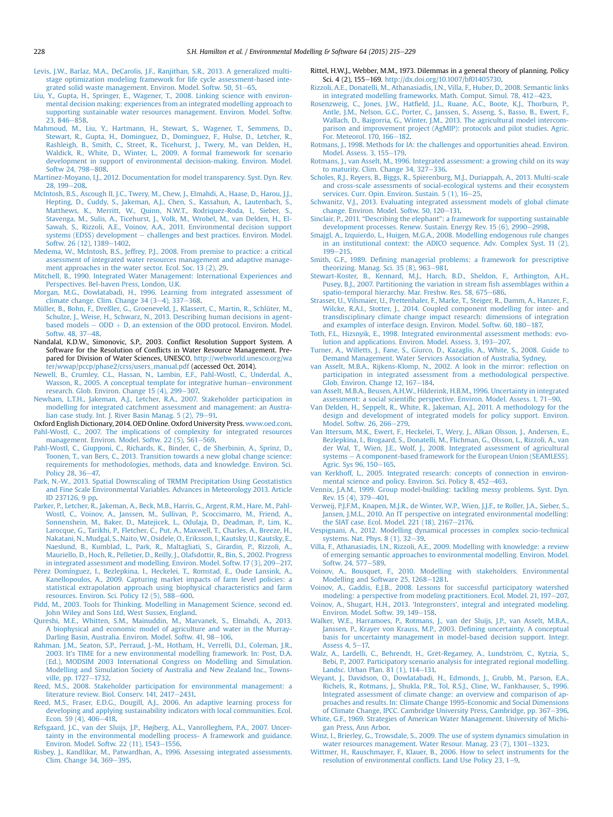- <span id="page-13-0"></span>[Levis, J.W., Barlaz, M.A., DeCarolis, J.F., Ranjithan, S.R., 2013. A generalized multi](http://refhub.elsevier.com/S1364-8152(14)00360-0/sref69)[stage optimization modeling framework for life cycle assessment-based inte](http://refhub.elsevier.com/S1364-8152(14)00360-0/sref69)[grated solid waste management. Environ. Model. Softw. 50, 51](http://refhub.elsevier.com/S1364-8152(14)00360-0/sref69)–[65](http://refhub.elsevier.com/S1364-8152(14)00360-0/sref69).
- [Liu, Y., Gupta, H., Springer, E., Wagener, T., 2008. Linking science with environ](http://refhub.elsevier.com/S1364-8152(14)00360-0/sref70)[mental decision making: experiences from an integrated modelling approach to](http://refhub.elsevier.com/S1364-8152(14)00360-0/sref70) [supporting sustainable water resources management. Environ. Model. Softw.](http://refhub.elsevier.com/S1364-8152(14)00360-0/sref70)  $23.846 - 858.$  $23.846 - 858.$
- [Mahmoud, M., Liu, Y., Hartmann, H., Stewart, S., Wagener, T., Semmens, D.,](http://refhub.elsevier.com/S1364-8152(14)00360-0/sref7a) [Stewart, R., Gupta, H., Dominguez, D., Dominguez, F., Hulse, D., Letcher, R.,](http://refhub.elsevier.com/S1364-8152(14)00360-0/sref7a) [Rashleigh, B., Smith, C., Street, R., Ticehurst, J., Twery, M., van Delden, H.,](http://refhub.elsevier.com/S1364-8152(14)00360-0/sref7a) [Waldick, R., White, D., Winter, L., 2009. A formal framework for scenario](http://refhub.elsevier.com/S1364-8152(14)00360-0/sref7a) [development in support of environmental decision-making. Environ. Model.](http://refhub.elsevier.com/S1364-8152(14)00360-0/sref7a) [Softw 24, 798](http://refhub.elsevier.com/S1364-8152(14)00360-0/sref7a)-[808](http://refhub.elsevier.com/S1364-8152(14)00360-0/sref7a).
- [Martinez-Moyano, I.J., 2012. Documentation for model transparency. Syst. Dyn. Rev.](http://refhub.elsevier.com/S1364-8152(14)00360-0/sref71)  $28.199 - 208.$  $28.199 - 208.$
- [McIntosh, B.S., Ascough II, J.C., Twery, M., Chew, J., Elmahdi, A., Haase, D., Harou, J.J.,](http://refhub.elsevier.com/S1364-8152(14)00360-0/sref73) [Hepting, D., Cuddy, S., Jakeman, A.J., Chen, S., Kassahun, A., Lautenbach, S.,](http://refhub.elsevier.com/S1364-8152(14)00360-0/sref73) [Matthews, K., Merritt, W., Quinn, N.W.T., Rodriquez-Roda, I., Sieber, S.,](http://refhub.elsevier.com/S1364-8152(14)00360-0/sref73) [Stavenga, M., Sulis, A., Ticehurst, J., Volk, M., Wrobel, M., van Delden, H., El-](http://refhub.elsevier.com/S1364-8152(14)00360-0/sref73)[Sawah, S., Rizzoli, A.E., Voinov, A.A., 2011. Environmental decision support](http://refhub.elsevier.com/S1364-8152(14)00360-0/sref73) [systems \(EDSS\) development](http://refhub.elsevier.com/S1364-8152(14)00360-0/sref73) - [challenges and best practices. Environ. Model.](http://refhub.elsevier.com/S1364-8152(14)00360-0/sref73) [Softw. 26 \(12\), 1389](http://refhub.elsevier.com/S1364-8152(14)00360-0/sref73)-[1402](http://refhub.elsevier.com/S1364-8152(14)00360-0/sref73).
- [Medema, W., McIntosh, B.S., Jeffrey, P.J., 2008. From premise to practice: a critical](http://refhub.elsevier.com/S1364-8152(14)00360-0/sref74) [assessment of integrated water resources management and adaptive manage](http://refhub.elsevier.com/S1364-8152(14)00360-0/sref74)[ment approaches in the water sector. Ecol. Soc. 13 \(2\), 29](http://refhub.elsevier.com/S1364-8152(14)00360-0/sref74).
- [Mitchell, B., 1990. Integrated Water Management: International Experiences and](http://refhub.elsevier.com/S1364-8152(14)00360-0/sref75) [Perspectives. Bel-haven Press, London, U.K.](http://refhub.elsevier.com/S1364-8152(14)00360-0/sref75)
- [Morgan, M.G., Dowlatabadi, H., 1996. Learning from integrated assessment of](http://refhub.elsevier.com/S1364-8152(14)00360-0/sref76) climate change. Clim. Change  $34$   $(3-4)$ ,  $337-368$ .
- [Müller, B., Bohn, F., Dreßler, G., Groeneveld, J., Klassert, C., Martin, R., Schlüter, M.,](http://refhub.elsevier.com/S1364-8152(14)00360-0/sref77) [Schulze, J., Weise, H., Schwarz, N., 2013. Describing human decisions in agent](http://refhub.elsevier.com/S1364-8152(14)00360-0/sref77)[based models](http://refhub.elsevier.com/S1364-8152(14)00360-0/sref77)  $-$  [ODD](http://refhub.elsevier.com/S1364-8152(14)00360-0/sref77)  $+$  [D, an extension of the ODD protocol. Environ. Model.](http://refhub.elsevier.com/S1364-8152(14)00360-0/sref77) [Softw. 48, 37](http://refhub.elsevier.com/S1364-8152(14)00360-0/sref77)-[48.](http://refhub.elsevier.com/S1364-8152(14)00360-0/sref77)
- Nandalal, K.D.W., Simonovic, S.P., 2003. Conflict Resolution Support System. A Software for the Resolution of Conflicts in Water Resource Management. Prepared for Division of Water Sciences, UNESCO. [http://webworld.unesco.org/wa](http://webworld.unesco.org/water/wwap/pccp/phase2/crss/users_manual.pdf) [ter/wwap/pccp/phase2/crss/users\\_manual.pdf](http://webworld.unesco.org/water/wwap/pccp/phase2/crss/users_manual.pdf) (accessed Oct. 2014).
- [Newell, B., Crumley, C.L., Hassan, N., Lambin, E.F., Pahl-Wostl, C., Underdal, A.,](http://refhub.elsevier.com/S1364-8152(14)00360-0/sref79) [Wasson, R., 2005. A conceptual template for integrative human](http://refhub.elsevier.com/S1364-8152(14)00360-0/sref79)-[environment](http://refhub.elsevier.com/S1364-8152(14)00360-0/sref79) [research. Glob. Environ. Change 15 \(4\), 299](http://refhub.elsevier.com/S1364-8152(14)00360-0/sref79)-[307.](http://refhub.elsevier.com/S1364-8152(14)00360-0/sref79)
- [Newham, L.T.H., Jakeman, A.J., Letcher, R.A., 2007. Stakeholder participation in](http://refhub.elsevier.com/S1364-8152(14)00360-0/sref80) [modelling for integrated catchment assessment and management: an Austra](http://refhub.elsevier.com/S1364-8152(14)00360-0/sref80)[lian case study. Int. J. River Basin Manag. 5 \(2\), 79](http://refhub.elsevier.com/S1364-8152(14)00360-0/sref80)-[91.](http://refhub.elsevier.com/S1364-8152(14)00360-0/sref80)
- Oxford English Dictionary, 2014. OED Online. Oxford University Press. [www.oed.com](http://www.oed.com). [Pahl-Wostl, C., 2007. The implications of complexity for integrated resources](http://refhub.elsevier.com/S1364-8152(14)00360-0/sref82) [management. Environ. Model. Softw. 22 \(5\), 561](http://refhub.elsevier.com/S1364-8152(14)00360-0/sref82)-[569.](http://refhub.elsevier.com/S1364-8152(14)00360-0/sref82)
- [Pahl-Wostl, C., Giupponi, C., Richards, K., Binder, C., de Sherbinin, A., Sprinz, D.,](http://refhub.elsevier.com/S1364-8152(14)00360-0/sref83) [Toonen, T., van Bers, C., 2013. Transition towards a new global change science:](http://refhub.elsevier.com/S1364-8152(14)00360-0/sref83) [requirements for methodologies, methods, data and knowledge. Environ. Sci.](http://refhub.elsevier.com/S1364-8152(14)00360-0/sref83) [Policy 28, 36](http://refhub.elsevier.com/S1364-8152(14)00360-0/sref83)-[47.](http://refhub.elsevier.com/S1364-8152(14)00360-0/sref83)
- [Park, N.-W., 2013. Spatial Downscaling of TRMM Precipitation Using Geostatistics](http://refhub.elsevier.com/S1364-8152(14)00360-0/sref84) [and Fine Scale Environmental Variables. Advances in Meteorology 2013. Article](http://refhub.elsevier.com/S1364-8152(14)00360-0/sref84) [ID 237126, 9 pp](http://refhub.elsevier.com/S1364-8152(14)00360-0/sref84).
- [Parker, P., Letcher, R., Jakeman, A., Beck, M.B., Harris, G., Argent, R.M., Hare, M., Pahl-](http://refhub.elsevier.com/S1364-8152(14)00360-0/sref85)[Wostl, C., Voinov, A., Janssen, M., Sullivan, P., Scoccimarro, M., Friend, A.,](http://refhub.elsevier.com/S1364-8152(14)00360-0/sref85) [Sonnenshein, M., Baker, D., Matejicek, L., Odulaja, D., Deadman, P., Lim, K.,](http://refhub.elsevier.com/S1364-8152(14)00360-0/sref85) [Larocque, G., Tarikhi, P., Fletcher, C., Put, A., Maxwell, T., Charles, A., Breeze, H.,](http://refhub.elsevier.com/S1364-8152(14)00360-0/sref85) [Nakatani, N., Mudgal, S., Naito, W., Osidele, O., Eriksson, I., Kautsky, U., Kautsky, E.,](http://refhub.elsevier.com/S1364-8152(14)00360-0/sref85) [Naeslund, B., Kumblad, L., Park, R., Maltagliati, S., Girardin, P., Rizzoli, A.,](http://refhub.elsevier.com/S1364-8152(14)00360-0/sref85) [Mauriello, D., Hoch, R., Pelletier, D., Reilly, J., Olafsdottir, R., Bin, S., 2002. Progress](http://refhub.elsevier.com/S1364-8152(14)00360-0/sref85) [in integrated assessment and modelling. Environ. Model. Softw. 17 \(3\), 209](http://refhub.elsevier.com/S1364-8152(14)00360-0/sref85)-[217.](http://refhub.elsevier.com/S1364-8152(14)00360-0/sref85)
- [Perez Domínguez, I., Bezlepkina, I., Heckelei, T., Romstad, E., Oude Lansink, A.,](http://refhub.elsevier.com/S1364-8152(14)00360-0/sref134) [Kanellopoulos, A., 2009. Capturing market impacts of farm level policies: a](http://refhub.elsevier.com/S1364-8152(14)00360-0/sref134) [statistical extrapolation approach using biophysical characteristics and farm](http://refhub.elsevier.com/S1364-8152(14)00360-0/sref134) [resources. Environ. Sci. Policy 12 \(5\), 588](http://refhub.elsevier.com/S1364-8152(14)00360-0/sref134)-[600.](http://refhub.elsevier.com/S1364-8152(14)00360-0/sref134)
- [Pidd, M., 2003. Tools for Thinking. Modelling in Management Science, second ed.](http://refhub.elsevier.com/S1364-8152(14)00360-0/sref86) [John Wiley and Sons Ltd, West Sussex, England.](http://refhub.elsevier.com/S1364-8152(14)00360-0/sref86)
- [Qureshi, M.E., Whitten, S.M., Mainuddin, M., Marvanek, S., Elmahdi, A., 2013.](http://refhub.elsevier.com/S1364-8152(14)00360-0/sref87) [A biophysical and economic model of agriculture and water in the Murray-](http://refhub.elsevier.com/S1364-8152(14)00360-0/sref87)[Darling Basin, Australia. Environ. Model. Softw. 41, 98](http://refhub.elsevier.com/S1364-8152(14)00360-0/sref87)-[106.](http://refhub.elsevier.com/S1364-8152(14)00360-0/sref87)
- [Rahman, J.M., Seaton, S.P., Perraud, J.-M., Hotham, H., Verrelli, D.I., Coleman, J.R.,](http://refhub.elsevier.com/S1364-8152(14)00360-0/sref88) [2003. It's TIME for a new environmental modelling framework. In: Post, D.A.](http://refhub.elsevier.com/S1364-8152(14)00360-0/sref88) [\(Ed.\), MODSIM 2003 International Congress on Modelling and Simulation.](http://refhub.elsevier.com/S1364-8152(14)00360-0/sref88) [Modelling and Simulation Society of Australia and New Zealand Inc., Towns](http://refhub.elsevier.com/S1364-8152(14)00360-0/sref88) $ville, pp. 1727 - 1732.$  $ville, pp. 1727 - 1732.$  $ville, pp. 1727 - 1732.$
- [Reed, M.S., 2008. Stakeholder participation for environmental management: a](http://refhub.elsevier.com/S1364-8152(14)00360-0/sref89) [literature review. Biol. Conserv. 141, 2417](http://refhub.elsevier.com/S1364-8152(14)00360-0/sref89)-[2431.](http://refhub.elsevier.com/S1364-8152(14)00360-0/sref89)
- [Reed, M.S., Fraser, E.D.G., Dougill, A.J., 2006. An adaptive learning process for](http://refhub.elsevier.com/S1364-8152(14)00360-0/sref90) [developing and applying sustainability indicators with local communities. Ecol.](http://refhub.elsevier.com/S1364-8152(14)00360-0/sref90) Econ. 59 (4),  $406 - 418$  $406 - 418$ .
- [Refsgaard, J.C., van der Sluijs, J.P., H](http://refhub.elsevier.com/S1364-8152(14)00360-0/sref91)ø[jberg, A.L., Vanrolleghem, P.A., 2007. Uncer](http://refhub.elsevier.com/S1364-8152(14)00360-0/sref91)[tainty in the environmental modelling process- A framework and guidance.](http://refhub.elsevier.com/S1364-8152(14)00360-0/sref91) [Environ. Model. Softw. 22 \(11\), 1543](http://refhub.elsevier.com/S1364-8152(14)00360-0/sref91)-[1556.](http://refhub.elsevier.com/S1364-8152(14)00360-0/sref91)
- [Risbey, J., Kandlikar, M., Patwardhan, A., 1996. Assessing integrated assessments.](http://refhub.elsevier.com/S1364-8152(14)00360-0/sref92) [Clim. Change 34, 369](http://refhub.elsevier.com/S1364-8152(14)00360-0/sref92)-[395.](http://refhub.elsevier.com/S1364-8152(14)00360-0/sref92)
- Rittel, H.W.J., Webber, M.M., 1973. Dilemmas in a general theory of planning. Policy Sci. 4 (2), 155-169. [http://dx.doi.org/10.1007/bf01405730.](http://dx.doi.org/10.1007/bf01405730)
- [Rizzoli, A.E., Donatelli, M., Athanasiadis, I.N., Villa, F., Huber, D., 2008. Semantic links](http://refhub.elsevier.com/S1364-8152(14)00360-0/sref94) [in integrated modelling frameworks. Math. Comput. Simul. 78, 412](http://refhub.elsevier.com/S1364-8152(14)00360-0/sref94)-[423.](http://refhub.elsevier.com/S1364-8152(14)00360-0/sref94)
- Rosenzweig, C., Jones, J.W., Hatfi[eld, J.L., Ruane, A.C., Boote, K.J., Thorburn, P.,](http://refhub.elsevier.com/S1364-8152(14)00360-0/sref95) [Antle, J.M., Nelson, G.C., Porter, C., Janssen, S., Asseng, S., Basso, B., Ewert, F.,](http://refhub.elsevier.com/S1364-8152(14)00360-0/sref95) [Wallach, D., Baigorria, G., Winter, J.M., 2013. The agricultural model intercom](http://refhub.elsevier.com/S1364-8152(14)00360-0/sref95)[parison and improvement project \(AgMIP\): protocols and pilot studies. Agric.](http://refhub.elsevier.com/S1364-8152(14)00360-0/sref95) For. Meteorol.  $170.166 - 182$  $170.166 - 182$ .
- [Rotmans, J., 1998. Methods for IA: the challenges and opportunities ahead. Environ.](http://refhub.elsevier.com/S1364-8152(14)00360-0/sref96) [Model. Assess. 3, 155](http://refhub.elsevier.com/S1364-8152(14)00360-0/sref96)-[179](http://refhub.elsevier.com/S1364-8152(14)00360-0/sref96).
- [Rotmans, J., van Asselt, M., 1996. Integrated assessment: a growing child on its way](http://refhub.elsevier.com/S1364-8152(14)00360-0/sref97) to maturity. Clim. Change 34,  $327-336$ .
- [Scholes, R.J., Reyers, B., Biggs, R., Spierenburg, M.J., Duriappah, A., 2013. Multi-scale](http://refhub.elsevier.com/S1364-8152(14)00360-0/sref98) [and cross-scale assessments of social-ecological systems and their ecosystem](http://refhub.elsevier.com/S1364-8152(14)00360-0/sref98) services. Curr. Opin. Environ. Sustain.  $5(1)$ ,  $16-25$  $16-25$ .
- [Schwanitz, V.J., 2013. Evaluating integrated assessment models of global climate](http://refhub.elsevier.com/S1364-8152(14)00360-0/sref99) change. Environ. Model. Softw.  $50.120-131$ .
- Sinclair, P., 2011. "Describing the elephant"[: a framework for supporting sustainable](http://refhub.elsevier.com/S1364-8152(14)00360-0/sref100)<br>[development processes. Renew. Sustain. Energy Rev. 15 \(6\), 2990](http://refhub.elsevier.com/S1364-8152(14)00360-0/sref100)–[2998](http://refhub.elsevier.com/S1364-8152(14)00360-0/sref100).
- [Smajgl, A., Izquierdo, L., Huigen, M.G.A., 2008. Modelling endogenous rule changes](http://refhub.elsevier.com/S1364-8152(14)00360-0/sref101) [in an institutional context: the ADICO sequence. Adv. Complex Syst. 11 \(2\),](http://refhub.elsevier.com/S1364-8152(14)00360-0/sref101)  $199 - 215$  $199 - 215$  $199 - 215$ .
- Smith, G.F., 1989. Defi[ning managerial problems: a framework for prescriptive](http://refhub.elsevier.com/S1364-8152(14)00360-0/sref102) [theorizing. Manag. Sci. 35 \(8\), 963](http://refhub.elsevier.com/S1364-8152(14)00360-0/sref102)-[981.](http://refhub.elsevier.com/S1364-8152(14)00360-0/sref102)
- [Stewart-Koster, B., Kennard, M.J., Harch, B.D., Sheldon, F., Arthington, A.H.,](http://refhub.elsevier.com/S1364-8152(14)00360-0/sref103) [Pusey, B.J., 2007. Partitioning the variation in stream](http://refhub.elsevier.com/S1364-8152(14)00360-0/sref103) fish assemblages within a [spatio-temporal hierarchy. Mar. Freshw. Res. 58, 675](http://refhub.elsevier.com/S1364-8152(14)00360-0/sref103)–[686](http://refhub.elsevier.com/S1364-8152(14)00360-0/sref103).
- [Strasser, U., Vilsmaier, U., Prettenhaler, F., Marke, T., Steiger, R., Damm, A., Hanzer, F.,](http://refhub.elsevier.com/S1364-8152(14)00360-0/sref104) [Wilcke, R.A.I., Stotter, J., 2014. Coupled component modelling for inter- and](http://refhub.elsevier.com/S1364-8152(14)00360-0/sref104) [transdisciplinary climate change impact research: dimensions of integration](http://refhub.elsevier.com/S1364-8152(14)00360-0/sref104) [and examples of interface design. Environ. Model. Softw. 60, 180](http://refhub.elsevier.com/S1364-8152(14)00360-0/sref104)-[187.](http://refhub.elsevier.com/S1364-8152(14)00360-0/sref104)
- [Toth, F.L., Hizsnyik, E., 1998. Integrated environmental assessment methods: evo](http://refhub.elsevier.com/S1364-8152(14)00360-0/sref105)[lution and applications. Environ. Model. Assess. 3, 193](http://refhub.elsevier.com/S1364-8152(14)00360-0/sref105)-[207.](http://refhub.elsevier.com/S1364-8152(14)00360-0/sref105)
- [Turner, A., Willetts, J., Fane, S., Giurco, D., Kazaglis, A., White, S., 2008. Guide to](http://refhub.elsevier.com/S1364-8152(14)00360-0/sref106) [Demand Management. Water Services Association of Australia, Sydney.](http://refhub.elsevier.com/S1364-8152(14)00360-0/sref106)
- [van Asselt, M.B.A., Rijkens-Klomp, N., 2002. A look in the mirror: re](http://refhub.elsevier.com/S1364-8152(14)00360-0/sref107)flection on [participation in integrated assessment from a methodological perspective.](http://refhub.elsevier.com/S1364-8152(14)00360-0/sref107) Glob. Environ. Change  $12$ ,  $167-184$  $167-184$ .
- [van Asselt, M.B.A., Beusen, A.H.W., Hilderink, H.B.M., 1996. Uncertainty in integrated](http://refhub.elsevier.com/S1364-8152(14)00360-0/sref108) assessment: a social scientifi[c perspective. Environ. Model. Assess. 1, 71](http://refhub.elsevier.com/S1364-8152(14)00360-0/sref108)-[90](http://refhub.elsevier.com/S1364-8152(14)00360-0/sref108).
- [Van Delden, H., Seppelt, R., White, R., Jakeman, A.J., 2011. A methodology for the](http://refhub.elsevier.com/S1364-8152(14)00360-0/sref9a) [design and development of integrated models for policy support. Environ.](http://refhub.elsevier.com/S1364-8152(14)00360-0/sref9a) [Model. Softw. 26, 266](http://refhub.elsevier.com/S1364-8152(14)00360-0/sref9a)-[279.](http://refhub.elsevier.com/S1364-8152(14)00360-0/sref9a)
- [Van Ittersum, M.K., Ewert, F., Heckelei, T., Wery, J., Alkan Olsson, J., Andersen, E.,](http://refhub.elsevier.com/S1364-8152(14)00360-0/sref10a) [Bezlepkina, I., Brogaard, S., Donatelli, M., Flichman, G., Olsson, L., Rizzoli, A., van](http://refhub.elsevier.com/S1364-8152(14)00360-0/sref10a) [der Wal, T., Wien, J.E., Wolf, J., 2008. Integrated assessment of agricultural](http://refhub.elsevier.com/S1364-8152(14)00360-0/sref10a) [systems](http://refhub.elsevier.com/S1364-8152(14)00360-0/sref10a) - [A component-based framework for the European Union \(SEAMLESS\).](http://refhub.elsevier.com/S1364-8152(14)00360-0/sref10a) [Agric. Sys 96, 150](http://refhub.elsevier.com/S1364-8152(14)00360-0/sref10a)-[165.](http://refhub.elsevier.com/S1364-8152(14)00360-0/sref10a)
- [van Kerkhoff, L., 2005. Integrated research: concepts of connection in environ](http://refhub.elsevier.com/S1364-8152(14)00360-0/sref109)[mental science and policy. Environ. Sci. Policy 8, 452](http://refhub.elsevier.com/S1364-8152(14)00360-0/sref109)-[463.](http://refhub.elsevier.com/S1364-8152(14)00360-0/sref109)
- [Vennix, J.A.M., 1999. Group model-building: tackling messy problems. Syst. Dyn.](http://refhub.elsevier.com/S1364-8152(14)00360-0/sref110) [Rev. 15 \(4\), 379](http://refhub.elsevier.com/S1364-8152(14)00360-0/sref110)-[401.](http://refhub.elsevier.com/S1364-8152(14)00360-0/sref110)
- [Verweij, P.J.F.M., Knapen, M.J.R., de Winter, W.P., Wien, J.J.F., te Roller, J.A., Sieber, S.,](http://refhub.elsevier.com/S1364-8152(14)00360-0/sref111) [Jansen, J.M.L., 2010. An IT perspective on integrated environmental modelling:](http://refhub.elsevier.com/S1364-8152(14)00360-0/sref111) the SIAT case. Ecol. Model.  $221(18)$ ,  $2167-2176$ .
- [Vespignani, A., 2012. Modelling dynamical processes in complex socio-technical](http://refhub.elsevier.com/S1364-8152(14)00360-0/sref112) systems. Nat. Phys.  $8(1)$ ,  $32-39$  $32-39$ .
- [Villa, F., Athanasiadis, I.N., Rizzoli, A.E., 2009. Modelling with knowledge: a review](http://refhub.elsevier.com/S1364-8152(14)00360-0/sref113) [of emerging semantic approaches to environmental modelling. Environ. Model.](http://refhub.elsevier.com/S1364-8152(14)00360-0/sref113) [Softw. 24, 577](http://refhub.elsevier.com/S1364-8152(14)00360-0/sref113)-[589](http://refhub.elsevier.com/S1364-8152(14)00360-0/sref113).
- [Voinov, A., Bousquet, F., 2010. Modelling with stakeholders. Environmental](http://refhub.elsevier.com/S1364-8152(14)00360-0/sref133) [Modelling and Software 25, 1268](http://refhub.elsevier.com/S1364-8152(14)00360-0/sref133)-[1281.](http://refhub.elsevier.com/S1364-8152(14)00360-0/sref133)
- [Voinov, A., Gaddis, E.J.B., 2008. Lessons for successful participatory watershed](http://refhub.elsevier.com/S1364-8152(14)00360-0/sref114) [modeling: a perspective from modeling practitioners. Ecol. Model. 21, 197](http://refhub.elsevier.com/S1364-8152(14)00360-0/sref114)-[207.](http://refhub.elsevier.com/S1364-8152(14)00360-0/sref114)
- Voinov, A., Shugart, H.H., 2013. 'Integronsters'[, integral and integrated modeling.](http://refhub.elsevier.com/S1364-8152(14)00360-0/sref115) Environ. Model. Softw. 39,  $149-158$  $149-158$ .
- [Walker, W.E., Harramoes, P., Rotmans, J., van der Sluijs, J.P., van Asselt, M.B.A.,](http://refhub.elsevier.com/S1364-8152(14)00360-0/sref11w) [Janssen, P., Krayer von Krauss, M.P., 2003. De](http://refhub.elsevier.com/S1364-8152(14)00360-0/sref11w)fining uncertainty. A conceptual [basis for uncertainty management in model-based decision support. Integr.](http://refhub.elsevier.com/S1364-8152(14)00360-0/sref11w) Assess  $4, 5-17.$  $4, 5-17.$
- Walz, A., Lardelli, C., Behrendt, H., Grêt-Regamey, A., Lundström, C., Kytzia, S., [Bebi, P., 2007. Participatory scenario analysis for integrated regional modelling.](http://refhub.elsevier.com/S1364-8152(14)00360-0/sref116) Landsc. Urban Plan.  $81$  (1), 114-[131.](http://refhub.elsevier.com/S1364-8152(14)00360-0/sref116)
- [Weyant, J., Davidson, O., Dowlatabadi, H., Edmonds, J., Grubb, M., Parson, E.A.,](http://refhub.elsevier.com/S1364-8152(14)00360-0/sref117) [Richels, R., Rotmans, J., Shukla, P.R., Tol, R.S.J., Cline, W., Fankhauser, S., 1996.](http://refhub.elsevier.com/S1364-8152(14)00360-0/sref117) [Integrated assessment of climate change: an overview and comparison of ap](http://refhub.elsevier.com/S1364-8152(14)00360-0/sref117)[proaches and results. In: Climate Change 1995-Economic and Social Dimensions](http://refhub.elsevier.com/S1364-8152(14)00360-0/sref117) [of Climate Change, IPCC. Cambridge University Press, Cambridge, pp. 367](http://refhub.elsevier.com/S1364-8152(14)00360-0/sref117)-[396](http://refhub.elsevier.com/S1364-8152(14)00360-0/sref117).
- [White, G.F., 1969. Strategies of American Water Management. University of Michi](http://refhub.elsevier.com/S1364-8152(14)00360-0/sref118)[gan Press, Ann Arbor.](http://refhub.elsevier.com/S1364-8152(14)00360-0/sref118)
- [Winz, I., Brierley, G., Trowsdale, S., 2009. The use of system dynamics simulation in](http://refhub.elsevier.com/S1364-8152(14)00360-0/sref119) water resources management. Water Resour. Manag.  $23(7)$ , 1301-[1323](http://refhub.elsevier.com/S1364-8152(14)00360-0/sref119).
- [Wittmer, H., Rauschmayer, F., Klauer, B., 2006. How to select instruments for the](http://refhub.elsevier.com/S1364-8152(14)00360-0/sref120) [resolution of environmental con](http://refhub.elsevier.com/S1364-8152(14)00360-0/sref120)flicts. Land Use Policy  $23$ ,  $1-9$ .